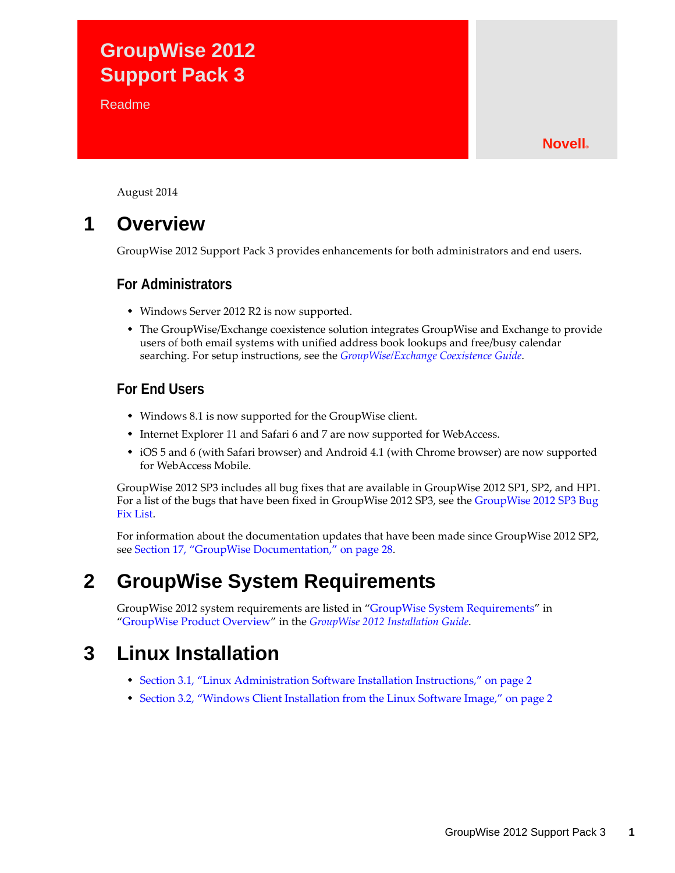# **GroupWise 2012 Support Pack 3**

**Readme** 

### **Novell®**

August 2014

## **1 Overview**

GroupWise 2012 Support Pack 3 provides enhancements for both administrators and end users.

### **For Administrators**

- Windows Server 2012 R2 is now supported.
- The GroupWise/Exchange coexistence solution integrates GroupWise and Exchange to provide users of both email systems with unified address book lookups and free/busy calendar searching. For setup instructions, see the *[GroupWise/Exchange Coexistence Guide](http://www.novell.com/documentation/groupwise2012/pdfdoc/gw2012_guide_exchcoexist/gw2012_guide_exchcoexist.pdf#bookinfo)*.

### **For End Users**

- Windows 8.1 is now supported for the GroupWise client.
- Internet Explorer 11 and Safari 6 and 7 are now supported for WebAccess.
- iOS 5 and 6 (with Safari browser) and Android 4.1 (with Chrome browser) are now supported for WebAccess Mobile.

GroupWise 2012 SP3 includes all bug fixes that are available in GroupWise 2012 SP1, SP2, and HP1. For a list of the bugs that have been fixed in GroupWise 2012 SP3, see the [GroupWise 2012 SP3 Bug](https://www.novell.com/documentation/groupwise2012/gw2012sp3_bugfixlist/data/gw2012sp3_bugfixlist.html)  [Fix List.](https://www.novell.com/documentation/groupwise2012/gw2012sp3_bugfixlist/data/gw2012sp3_bugfixlist.html)

For information about the documentation updates that have been made since GroupWise 2012 SP2, see [Section 17, "GroupWise Documentation," on page 28](#page-27-0).

## **2 GroupWise System Requirements**

GroupWise 2012 system requirements are listed in "[GroupWise System Requirements](http://www.novell.com/documentation/groupwise2012/pdfdoc/gw2012_guide_install/gw2012_guide_install.pdf#bp8vh01)" in "[GroupWise Product Overview"](http://www.novell.com/documentation/groupwise2012/pdfdoc/gw2012_guide_install/gw2012_guide_install.pdf#bq8x2ox) in the *[GroupWise 2012 Installation Guide](http://www.novell.com/documentation/groupwise2012/pdfdoc/gw2012_guide_install/gw2012_guide_install.pdf#gw2012guideinst)*.

## **3 Linux Installation**

- [Section 3.1, "Linux Administration Software Installation Instructions," on page 2](#page-1-0)
- [Section 3.2, "Windows Client Installation from the Linux Software Image," on page 2](#page-1-1)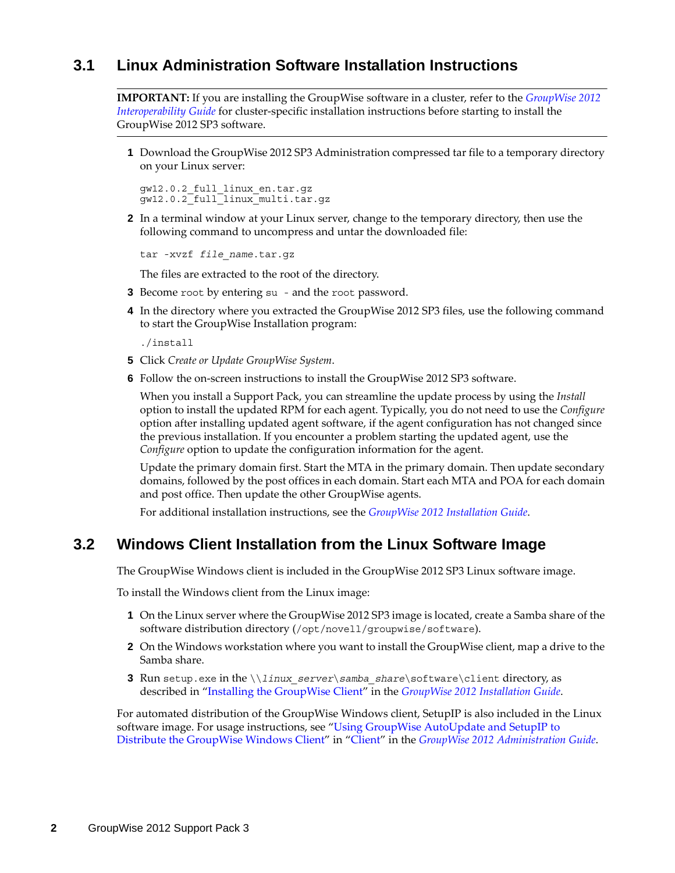### <span id="page-1-0"></span>**3.1 Linux Administration Software Installation Instructions**

**IMPORTANT:** If you are installing the GroupWise software in a cluster, refer to the *[GroupWise 2012](http://www.novell.com/documentation/groupwise2012/pdfdoc/gw2012_guide_interop/gw2012_guide_interop.pdf#A20gkue)  [Interoperability Guide](http://www.novell.com/documentation/groupwise2012/pdfdoc/gw2012_guide_interop/gw2012_guide_interop.pdf#A20gkue)* for cluster-specific installation instructions before starting to install the GroupWise 2012 SP3 software.

**1** Download the GroupWise 2012 SP3 Administration compressed tar file to a temporary directory on your Linux server:

gw12.0.2\_full\_linux\_en.tar.gz gw12.0.2\_full\_linux\_multi.tar.gz

**2** In a terminal window at your Linux server, change to the temporary directory, then use the following command to uncompress and untar the downloaded file:

tar -xvzf *file\_name*.tar.gz

The files are extracted to the root of the directory.

- **3** Become root by entering su and the root password.
- **4** In the directory where you extracted the GroupWise 2012 SP3 files, use the following command to start the GroupWise Installation program:

./install

- **5** Click *Create or Update GroupWise System*.
- **6** Follow the on-screen instructions to install the GroupWise 2012 SP3 software.

When you install a Support Pack, you can streamline the update process by using the *Install* option to install the updated RPM for each agent. Typically, you do not need to use the *Configure* option after installing updated agent software, if the agent configuration has not changed since the previous installation. If you encounter a problem starting the updated agent, use the *Configure* option to update the configuration information for the agent.

Update the primary domain first. Start the MTA in the primary domain. Then update secondary domains, followed by the post offices in each domain. Start each MTA and POA for each domain and post office. Then update the other GroupWise agents.

For additional installation instructions, see the *[GroupWise 2012 Installation Guide](http://www.novell.com/documentation/groupwise2012/pdfdoc/gw2012_guide_install/gw2012_guide_install.pdf#gw2012guideinst)*.

### <span id="page-1-1"></span>**3.2 Windows Client Installation from the Linux Software Image**

The GroupWise Windows client is included in the GroupWise 2012 SP3 Linux software image.

To install the Windows client from the Linux image:

- **1** On the Linux server where the GroupWise 2012 SP3 image is located, create a Samba share of the software distribution directory (/opt/novell/groupwise/software).
- **2** On the Windows workstation where you want to install the GroupWise client, map a drive to the Samba share.
- **3** Run setup.exe in the \\*linux\_server*\*samba\_share*\software\client directory, as described in "[Installing the GroupWise Client](http://www.novell.com/documentation/groupwise2012/pdfdoc/gw2012_guide_install/gw2012_guide_install.pdf#A2iiipr)" in the *[GroupWise 2012 Installation Guide](http://www.novell.com/documentation/groupwise2012/pdfdoc/gw2012_guide_install/gw2012_guide_install.pdf#gw2012guideinst)*.

For automated distribution of the GroupWise Windows client, SetupIP is also included in the Linux software image. For usage instructions, see "[Using GroupWise AutoUpdate and SetupIP to](http://www.novell.com/documentation/groupwise2012/pdfdoc/gw2012_guide_admin/gw2012_guide_admin.pdf#bv4v0uy)  [Distribute the GroupWise Windows Client"](http://www.novell.com/documentation/groupwise2012/pdfdoc/gw2012_guide_admin/gw2012_guide_admin.pdf#bv4v0uy) in ["Client](http://www.novell.com/documentation/groupwise2012/pdfdoc/gw2012_guide_admin/gw2012_guide_admin.pdf#A7q51s6)" in the *[GroupWise 2012 Administration Guide](http://www.novell.com/documentation/groupwise2012/pdfdoc/gw2012_guide_admin/gw2012_guide_admin.pdf#A2zvyc4)*.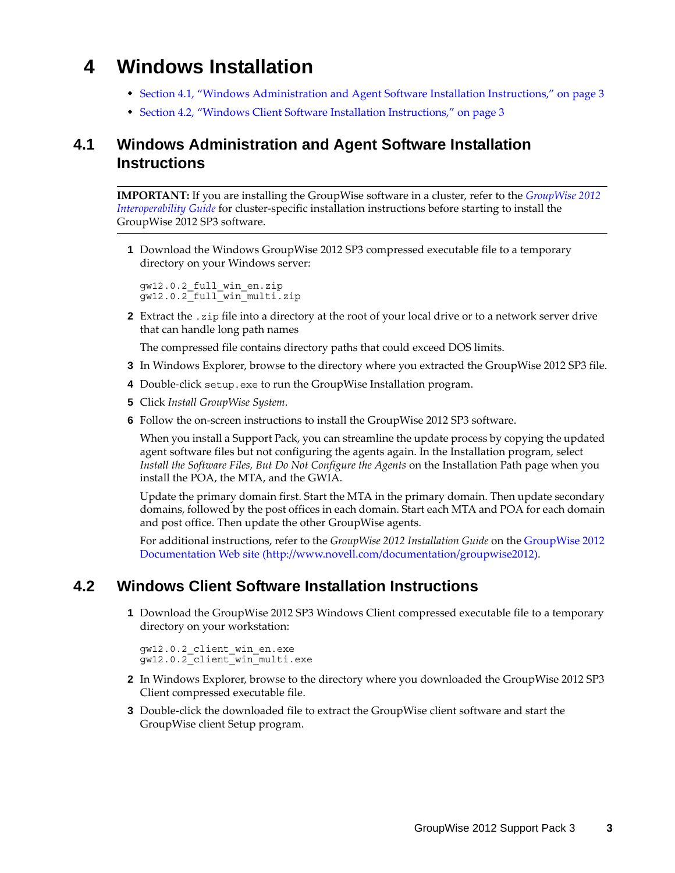# **4 Windows Installation**

- [Section 4.1, "Windows Administration and Agent Software Installation Instructions," on page 3](#page-2-0)
- [Section 4.2, "Windows Client Software Installation Instructions," on page 3](#page-2-1)

### <span id="page-2-0"></span>**4.1 Windows Administration and Agent Software Installation Instructions**

**IMPORTANT:** If you are installing the GroupWise software in a cluster, refer to the *[GroupWise 2012](http://www.novell.com/documentation/groupwise2012/pdfdoc/gw2012_guide_interop/gw2012_guide_interop.pdf#A20gkue)  [Interoperability Guide](http://www.novell.com/documentation/groupwise2012/pdfdoc/gw2012_guide_interop/gw2012_guide_interop.pdf#A20gkue)* for cluster-specific installation instructions before starting to install the GroupWise 2012 SP3 software.

**1** Download the Windows GroupWise 2012 SP3 compressed executable file to a temporary directory on your Windows server:

```
gw12.0.2_full_win_en.zip
gw12.0.2_full_win_multi.zip
```
**2** Extract the .zip file into a directory at the root of your local drive or to a network server drive that can handle long path names

The compressed file contains directory paths that could exceed DOS limits.

- **3** In Windows Explorer, browse to the directory where you extracted the GroupWise 2012 SP3 file.
- **4** Double-click setup.exe to run the GroupWise Installation program.
- **5** Click *Install GroupWise System*.
- **6** Follow the on-screen instructions to install the GroupWise 2012 SP3 software.

When you install a Support Pack, you can streamline the update process by copying the updated agent software files but not configuring the agents again. In the Installation program, select *Install the Software Files, But Do Not Configure the Agents* on the Installation Path page when you install the POA, the MTA, and the GWIA.

Update the primary domain first. Start the MTA in the primary domain. Then update secondary domains, followed by the post offices in each domain. Start each MTA and POA for each domain and post office. Then update the other GroupWise agents.

For additional instructions, refer to the *GroupWise 2012 Installation Guide* on the [GroupWise 2012](http://www.novell.com/documentation/groupwise2012)  [Documentation Web site](http://www.novell.com/documentation/groupwise2012) (http://www.novell.com/documentation/groupwise2012).

### <span id="page-2-1"></span>**4.2 Windows Client Software Installation Instructions**

**1** Download the GroupWise 2012 SP3 Windows Client compressed executable file to a temporary directory on your workstation:

```
gw12.0.2_client_win_en.exe
gw12.0.2_client_win_multi.exe
```
- **2** In Windows Explorer, browse to the directory where you downloaded the GroupWise 2012 SP3 Client compressed executable file.
- **3** Double-click the downloaded file to extract the GroupWise client software and start the GroupWise client Setup program.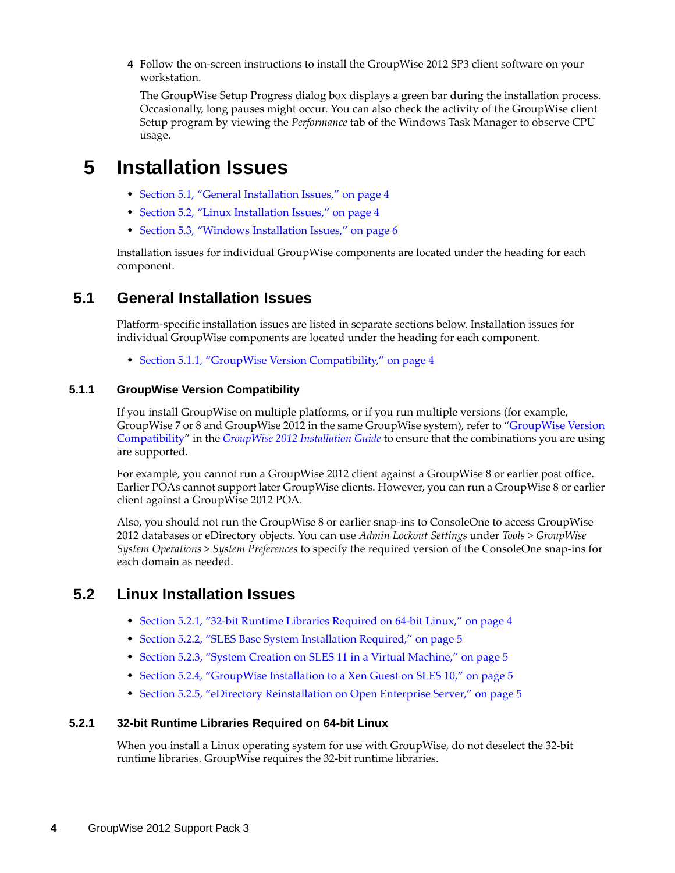**4** Follow the on-screen instructions to install the GroupWise 2012 SP3 client software on your workstation.

The GroupWise Setup Progress dialog box displays a green bar during the installation process. Occasionally, long pauses might occur. You can also check the activity of the GroupWise client Setup program by viewing the *Performance* tab of the Windows Task Manager to observe CPU usage.

## **5 Installation Issues**

- [Section 5.1, "General Installation Issues," on page 4](#page-3-0)
- [Section 5.2, "Linux Installation Issues," on page 4](#page-3-1)
- [Section 5.3, "Windows Installation Issues," on page 6](#page-5-0)

Installation issues for individual GroupWise components are located under the heading for each component.

### <span id="page-3-0"></span>**5.1 General Installation Issues**

Platform-specific installation issues are listed in separate sections below. Installation issues for individual GroupWise components are located under the heading for each component.

[Section 5.1.1, "GroupWise Version Compatibility," on page 4](#page-3-2)

### <span id="page-3-2"></span>**5.1.1 GroupWise Version Compatibility**

If you install GroupWise on multiple platforms, or if you run multiple versions (for example, GroupWise 7 or 8 and GroupWise 2012 in the same GroupWise system), refer to "GroupWise Version [Compatibility"](http://www.novell.com/documentation/groupwise2012/pdfdoc/gw2012_guide_install/gw2012_guide_install.pdf#A4dx2sf) in the *[GroupWise 2012 Installation Guide](http://www.novell.com/documentation/groupwise2012/pdfdoc/gw2012_guide_install/gw2012_guide_install.pdf#gw2012guideinst)* to ensure that the combinations you are using are supported.

For example, you cannot run a GroupWise 2012 client against a GroupWise 8 or earlier post office. Earlier POAs cannot support later GroupWise clients. However, you can run a GroupWise 8 or earlier client against a GroupWise 2012 POA.

Also, you should not run the GroupWise 8 or earlier snap-ins to ConsoleOne to access GroupWise 2012 databases or eDirectory objects. You can use *Admin Lockout Settings* under *Tools > GroupWise System Operations > System Preferences* to specify the required version of the ConsoleOne snap-ins for each domain as needed.

### <span id="page-3-1"></span>**5.2 Linux Installation Issues**

- [Section 5.2.1, "32-bit Runtime Libraries Required on 64-bit Linux," on page 4](#page-3-3)
- [Section 5.2.2, "SLES Base System Installation Required," on page 5](#page-4-0)
- [Section 5.2.3, "System Creation on SLES 11 in a Virtual Machine," on page 5](#page-4-1)
- [Section 5.2.4, "GroupWise Installation to a Xen Guest on SLES 10," on page 5](#page-4-2)
- \* [Section 5.2.5, "eDirectory Reinstallation on Open Enterprise Server," on page 5](#page-4-3)

### <span id="page-3-3"></span>**5.2.1 32-bit Runtime Libraries Required on 64-bit Linux**

When you install a Linux operating system for use with GroupWise, do not deselect the 32-bit runtime libraries. GroupWise requires the 32-bit runtime libraries.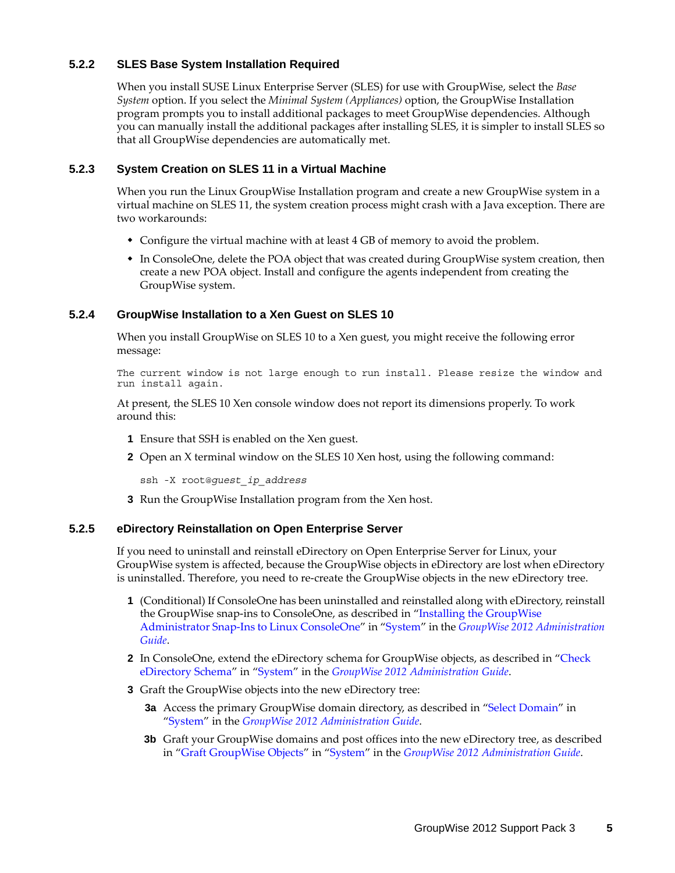### <span id="page-4-0"></span>**5.2.2 SLES Base System Installation Required**

When you install SUSE Linux Enterprise Server (SLES) for use with GroupWise, select the *Base System* option. If you select the *Minimal System (Appliances)* option, the GroupWise Installation program prompts you to install additional packages to meet GroupWise dependencies. Although you can manually install the additional packages after installing SLES, it is simpler to install SLES so that all GroupWise dependencies are automatically met.

### <span id="page-4-1"></span>**5.2.3 System Creation on SLES 11 in a Virtual Machine**

When you run the Linux GroupWise Installation program and create a new GroupWise system in a virtual machine on SLES 11, the system creation process might crash with a Java exception. There are two workarounds:

- Configure the virtual machine with at least 4 GB of memory to avoid the problem.
- In ConsoleOne, delete the POA object that was created during GroupWise system creation, then create a new POA object. Install and configure the agents independent from creating the GroupWise system.

### <span id="page-4-2"></span>**5.2.4 GroupWise Installation to a Xen Guest on SLES 10**

When you install GroupWise on SLES 10 to a Xen guest, you might receive the following error message:

The current window is not large enough to run install. Please resize the window and run install again.

At present, the SLES 10 Xen console window does not report its dimensions properly. To work around this:

- **1** Ensure that SSH is enabled on the Xen guest.
- **2** Open an X terminal window on the SLES 10 Xen host, using the following command:

ssh -X root@*guest\_ip\_address*

**3** Run the GroupWise Installation program from the Xen host.

### <span id="page-4-3"></span>**5.2.5 eDirectory Reinstallation on Open Enterprise Server**

If you need to uninstall and reinstall eDirectory on Open Enterprise Server for Linux, your GroupWise system is affected, because the GroupWise objects in eDirectory are lost when eDirectory is uninstalled. Therefore, you need to re-create the GroupWise objects in the new eDirectory tree.

- **1** (Conditional) If ConsoleOne has been uninstalled and reinstalled along with eDirectory, reinstall the GroupWise snap-ins to ConsoleOne, as described in ["Installing the GroupWise](http://www.novell.com/documentation/groupwise2012/pdfdoc/gw2012_guide_admin/gw2012_guide_admin.pdf#bvz43u0)  [Administrator Snap-Ins to Linux ConsoleOne"](http://www.novell.com/documentation/groupwise2012/pdfdoc/gw2012_guide_admin/gw2012_guide_admin.pdf#bvz43u0) in "[System"](http://www.novell.com/documentation/groupwise2012/pdfdoc/gw2012_guide_admin/gw2012_guide_admin.pdf#A7q4urx) in the *[GroupWise 2012 Administration](http://www.novell.com/documentation/groupwise2012/pdfdoc/gw2012_guide_admin/gw2012_guide_admin.pdf#A2zvyc4)  [Guide](http://www.novell.com/documentation/groupwise2012/pdfdoc/gw2012_guide_admin/gw2012_guide_admin.pdf#A2zvyc4)*.
- **2** In ConsoleOne, extend the eDirectory schema for GroupWise objects, as described in ["Check](http://www.novell.com/documentation/groupwise2012/pdfdoc/gw2012_guide_admin/gw2012_guide_admin.pdf#br0mx45)  [eDirectory Schema](http://www.novell.com/documentation/groupwise2012/pdfdoc/gw2012_guide_admin/gw2012_guide_admin.pdf#br0mx45)" in ["System](http://www.novell.com/documentation/groupwise2012/pdfdoc/gw2012_guide_admin/gw2012_guide_admin.pdf#A7q4urx)" in the *[GroupWise 2012 Administration Guide](http://www.novell.com/documentation/groupwise2012/pdfdoc/gw2012_guide_admin/gw2012_guide_admin.pdf#A2zvyc4)*.
- **3** Graft the GroupWise objects into the new eDirectory tree:
	- **3a** Access the primary GroupWise domain directory, as described in ["Select Domain"](http://www.novell.com/documentation/groupwise2012/pdfdoc/gw2012_guide_admin/gw2012_guide_admin.pdf#A3n2haj) in "[System"](http://www.novell.com/documentation/groupwise2012/pdfdoc/gw2012_guide_admin/gw2012_guide_admin.pdf#A7q4urx) in the *[GroupWise 2012 Administration Guide](http://www.novell.com/documentation/groupwise2012/pdfdoc/gw2012_guide_admin/gw2012_guide_admin.pdf#A2zvyc4)*.
	- **3b** Graft your GroupWise domains and post offices into the new eDirectory tree, as described in ["Graft GroupWise Objects"](http://www.novell.com/documentation/groupwise2012/pdfdoc/gw2012_guide_admin/gw2012_guide_admin.pdf#Adpbggx) in ["System](http://www.novell.com/documentation/groupwise2012/pdfdoc/gw2012_guide_admin/gw2012_guide_admin.pdf#A7q4urx)" in the *[GroupWise 2012 Administration Guide](http://www.novell.com/documentation/groupwise2012/pdfdoc/gw2012_guide_admin/gw2012_guide_admin.pdf#A2zvyc4)*.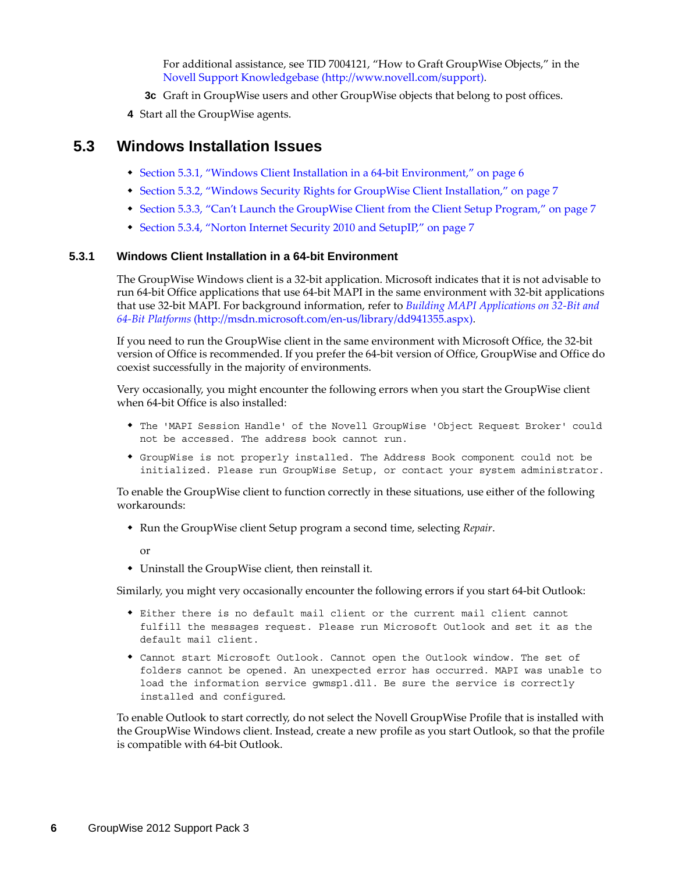For additional assistance, see TID 7004121, "How to Graft GroupWise Objects," in the [Novell Support Knowledgebase](http://www.novell.com/support) (http://www.novell.com/support).

- **3c** Graft in GroupWise users and other GroupWise objects that belong to post offices.
- **4** Start all the GroupWise agents.

### <span id="page-5-0"></span>**5.3 Windows Installation Issues**

- [Section 5.3.1, "Windows Client Installation in a 64-bit Environment," on page 6](#page-5-1)
- [Section 5.3.2, "Windows Security Rights for GroupWise Client Installation," on page 7](#page-6-0)
- [Section 5.3.3, "Can't Launch the GroupWise Client from the Client Setup Program," on page 7](#page-6-1)
- [Section 5.3.4, "Norton Internet Security 2010 and SetupIP," on page 7](#page-6-2)

#### <span id="page-5-1"></span>**5.3.1 Windows Client Installation in a 64-bit Environment**

The GroupWise Windows client is a 32-bit application. Microsoft indicates that it is not advisable to run 64-bit Office applications that use 64-bit MAPI in the same environment with 32-bit applications that use 32-bit MAPI. For background information, refer to *[Building MAPI Applications on 32-Bit and](http://msdn.microsoft.com/en-us/library/dd941355.aspx)  [64-Bit Platforms](http://msdn.microsoft.com/en-us/library/dd941355.aspx)* (http://msdn.microsoft.com/en-us/library/dd941355.aspx).

If you need to run the GroupWise client in the same environment with Microsoft Office, the 32-bit version of Office is recommended. If you prefer the 64-bit version of Office, GroupWise and Office do coexist successfully in the majority of environments.

Very occasionally, you might encounter the following errors when you start the GroupWise client when 64-bit Office is also installed:

- The 'MAPI Session Handle' of the Novell GroupWise 'Object Request Broker' could not be accessed. The address book cannot run.
- GroupWise is not properly installed. The Address Book component could not be initialized. Please run GroupWise Setup, or contact your system administrator.

To enable the GroupWise client to function correctly in these situations, use either of the following workarounds:

Run the GroupWise client Setup program a second time, selecting *Repair*.

or

Uninstall the GroupWise client, then reinstall it.

Similarly, you might very occasionally encounter the following errors if you start 64-bit Outlook:

- Either there is no default mail client or the current mail client cannot fulfill the messages request. Please run Microsoft Outlook and set it as the default mail client.
- Cannot start Microsoft Outlook. Cannot open the Outlook window. The set of folders cannot be opened. An unexpected error has occurred. MAPI was unable to load the information service gwmsp1.dll. Be sure the service is correctly installed and configured.

To enable Outlook to start correctly, do not select the Novell GroupWise Profile that is installed with the GroupWise Windows client. Instead, create a new profile as you start Outlook, so that the profile is compatible with 64-bit Outlook.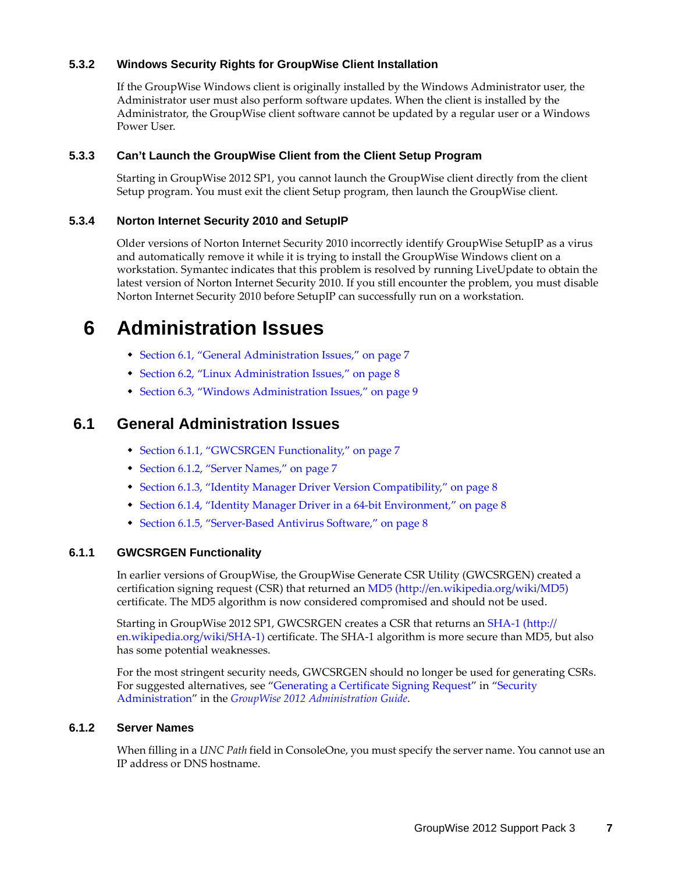### <span id="page-6-0"></span>**5.3.2 Windows Security Rights for GroupWise Client Installation**

If the GroupWise Windows client is originally installed by the Windows Administrator user, the Administrator user must also perform software updates. When the client is installed by the Administrator, the GroupWise client software cannot be updated by a regular user or a Windows Power User.

### <span id="page-6-1"></span>**5.3.3 Can't Launch the GroupWise Client from the Client Setup Program**

Starting in GroupWise 2012 SP1, you cannot launch the GroupWise client directly from the client Setup program. You must exit the client Setup program, then launch the GroupWise client.

### <span id="page-6-2"></span>**5.3.4 Norton Internet Security 2010 and SetupIP**

Older versions of Norton Internet Security 2010 incorrectly identify GroupWise SetupIP as a virus and automatically remove it while it is trying to install the GroupWise Windows client on a workstation. Symantec indicates that this problem is resolved by running LiveUpdate to obtain the latest version of Norton Internet Security 2010. If you still encounter the problem, you must disable Norton Internet Security 2010 before SetupIP can successfully run on a workstation.

## **6 Administration Issues**

- [Section 6.1, "General Administration Issues," on page 7](#page-6-3)
- [Section 6.2, "Linux Administration Issues," on page 8](#page-7-0)
- [Section 6.3, "Windows Administration Issues," on page 9](#page-8-0)

### <span id="page-6-3"></span>**6.1 General Administration Issues**

- [Section 6.1.1, "GWCSRGEN Functionality," on page 7](#page-6-4)
- [Section 6.1.2, "Server Names," on page 7](#page-6-5)
- [Section 6.1.3, "Identity Manager Driver Version Compatibility," on page 8](#page-7-1)
- [Section 6.1.4, "Identity Manager Driver in a 64-bit Environment," on page 8](#page-7-2)
- [Section 6.1.5, "Server-Based Antivirus Software," on page 8](#page-7-3)

### <span id="page-6-4"></span>**6.1.1 GWCSRGEN Functionality**

In earlier versions of GroupWise, the GroupWise Generate CSR Utility (GWCSRGEN) created a certification signing request (CSR) that returned an [MD5](http://en.wikipedia.org/wiki/MD5) (http://en.wikipedia.org/wiki/MD5) certificate. The MD5 algorithm is now considered compromised and should not be used.

Starting in GroupWise 2012 SP1, GWCSRGEN creates a CSR that returns an [SHA-1](http://en.wikipedia.org/wiki/SHA-1) (http:// en.wikipedia.org/wiki/SHA-1) certificate. The SHA-1 algorithm is more secure than MD5, but also has some potential weaknesses.

For the most stringent security needs, GWCSRGEN should no longer be used for generating CSRs. For suggested alternatives, see ["Generating a Certificate Signing Request"](http://www.novell.com/documentation/groupwise2012/pdfdoc/gw2012_guide_admin/gw2012_guide_admin.pdf#Akf47cc) in ["Security](http://www.novell.com/documentation/groupwise2012/pdfdoc/gw2012_guide_admin/gw2012_guide_admin.pdf#Altf8xr)  [Administration](http://www.novell.com/documentation/groupwise2012/pdfdoc/gw2012_guide_admin/gw2012_guide_admin.pdf#Altf8xr)" in the *[GroupWise 2012 Administration Guide](http://www.novell.com/documentation/groupwise2012/pdfdoc/gw2012_guide_admin/gw2012_guide_admin.pdf#A2zvyc4)*.

### <span id="page-6-5"></span>**6.1.2 Server Names**

When filling in a *UNC Path* field in ConsoleOne, you must specify the server name. You cannot use an IP address or DNS hostname.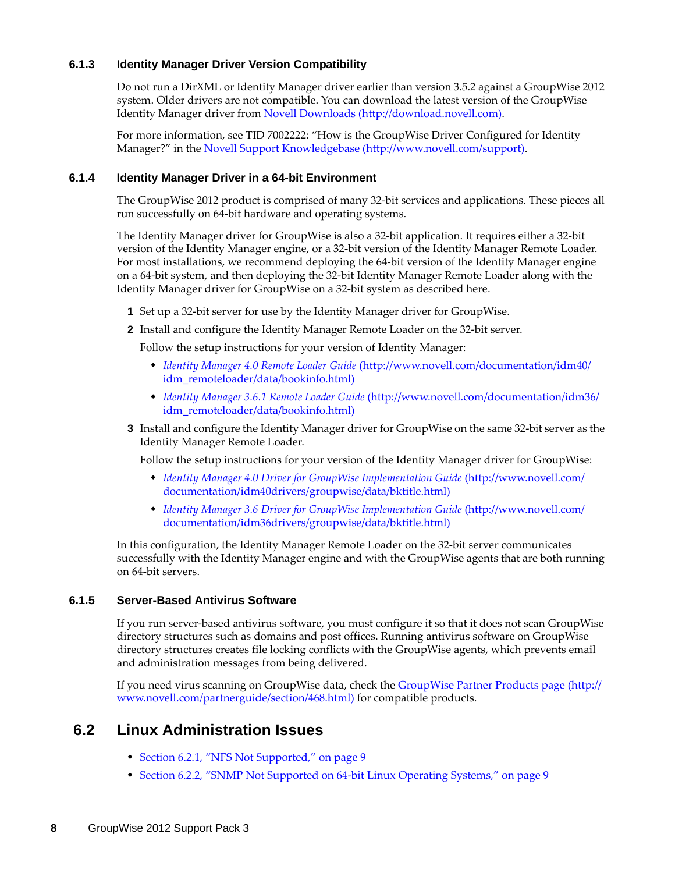### <span id="page-7-1"></span>**6.1.3 Identity Manager Driver Version Compatibility**

Do not run a DirXML or Identity Manager driver earlier than version 3.5.2 against a GroupWise 2012 system. Older drivers are not compatible. You can download the latest version of the GroupWise Identity Manager driver from [Novell Downloads](http://download.novell.com) (http://download.novell.com).

For more information, see TID 7002222: "How is the GroupWise Driver Configured for Identity Manager?" in the [Novell Support Knowledgebase](http://www.novell.com/support) (http://www.novell.com/support).

### <span id="page-7-2"></span>**6.1.4 Identity Manager Driver in a 64-bit Environment**

The GroupWise 2012 product is comprised of many 32-bit services and applications. These pieces all run successfully on 64-bit hardware and operating systems.

The Identity Manager driver for GroupWise is also a 32-bit application. It requires either a 32-bit version of the Identity Manager engine, or a 32-bit version of the Identity Manager Remote Loader. For most installations, we recommend deploying the 64-bit version of the Identity Manager engine on a 64-bit system, and then deploying the 32-bit Identity Manager Remote Loader along with the Identity Manager driver for GroupWise on a 32-bit system as described here.

- **1** Set up a 32-bit server for use by the Identity Manager driver for GroupWise.
- **2** Install and configure the Identity Manager Remote Loader on the 32-bit server.

Follow the setup instructions for your version of Identity Manager:

- *[Identity Manager 4.0 Remote Loader Guide](http://www.novell.com/documentation/idm40/idm_remoteloader/data/bookinfo.html)* (http://www.novell.com/documentation/idm40/ idm\_remoteloader/data/bookinfo.html)
- *[Identity Manager 3.6.1 Remote Loader Guide](http://www.novell.com/documentation/idm36/idm_remoteloader/data/bookinfo.html)* (http://www.novell.com/documentation/idm36/ idm\_remoteloader/data/bookinfo.html)

### **3** Install and configure the Identity Manager driver for GroupWise on the same 32-bit server as the Identity Manager Remote Loader.

Follow the setup instructions for your version of the Identity Manager driver for GroupWise:

- *[Identity Manager 4.0 Driver for GroupWise Implementation Guide](http://www.novell.com/documentation/idm40drivers/groupwise/data/bktitle.html)* (http://www.novell.com/ documentation/idm40drivers/groupwise/data/bktitle.html)
- *[Identity Manager 3.6 Driver for GroupWise Implementation Guide](http://www.novell.com/documentation/idm36drivers/groupwise/data/bktitle.html)* (http://www.novell.com/ documentation/idm36drivers/groupwise/data/bktitle.html)

In this configuration, the Identity Manager Remote Loader on the 32-bit server communicates successfully with the Identity Manager engine and with the GroupWise agents that are both running on 64-bit servers.

### <span id="page-7-3"></span>**6.1.5 Server-Based Antivirus Software**

If you run server-based antivirus software, you must configure it so that it does not scan GroupWise directory structures such as domains and post offices. Running antivirus software on GroupWise directory structures creates file locking conflicts with the GroupWise agents, which prevents email and administration messages from being delivered.

If you need virus scanning on GroupWise data, check the [GroupWise Partner Products page](http://www.novell.com/partnerguide/section/468.html) (http:// www.novell.com/partnerguide/section/468.html) for compatible products.

### <span id="page-7-0"></span>**6.2 Linux Administration Issues**

- [Section 6.2.1, "NFS Not Supported," on page 9](#page-8-1)
- [Section 6.2.2, "SNMP Not Supported on 64-bit Linux Operating Systems," on page 9](#page-8-2)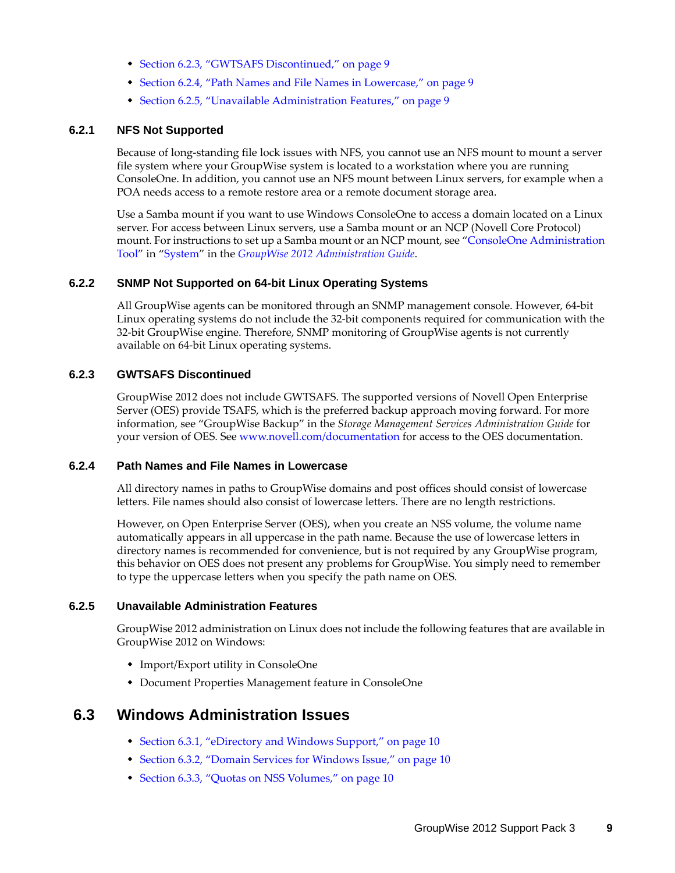- [Section 6.2.3, "GWTSAFS Discontinued," on page 9](#page-8-3)
- [Section 6.2.4, "Path Names and File Names in Lowercase," on page 9](#page-8-4)
- [Section 6.2.5, "Unavailable Administration Features," on page 9](#page-8-5)

### <span id="page-8-1"></span>**6.2.1 NFS Not Supported**

Because of long-standing file lock issues with NFS, you cannot use an NFS mount to mount a server file system where your GroupWise system is located to a workstation where you are running ConsoleOne. In addition, you cannot use an NFS mount between Linux servers, for example when a POA needs access to a remote restore area or a remote document storage area.

Use a Samba mount if you want to use Windows ConsoleOne to access a domain located on a Linux server. For access between Linux servers, use a Samba mount or an NCP (Novell Core Protocol) mount. For instructions to set up a Samba mount or an NCP mount, see ["ConsoleOne Administration](http://www.novell.com/documentation/groupwise2012/pdfdoc/gw2012_guide_admin/gw2012_guide_admin.pdf#bwmb48w)  [Tool](http://www.novell.com/documentation/groupwise2012/pdfdoc/gw2012_guide_admin/gw2012_guide_admin.pdf#bwmb48w)" in "[System"](http://www.novell.com/documentation/groupwise2012/pdfdoc/gw2012_guide_admin/gw2012_guide_admin.pdf#A7q4urx) in the *[GroupWise 2012 Administration Guide](http://www.novell.com/documentation/groupwise2012/pdfdoc/gw2012_guide_admin/gw2012_guide_admin.pdf#A2zvyc4)*.

### <span id="page-8-2"></span>**6.2.2 SNMP Not Supported on 64-bit Linux Operating Systems**

All GroupWise agents can be monitored through an SNMP management console. However, 64-bit Linux operating systems do not include the 32-bit components required for communication with the 32-bit GroupWise engine. Therefore, SNMP monitoring of GroupWise agents is not currently available on 64-bit Linux operating systems.

### <span id="page-8-3"></span>**6.2.3 GWTSAFS Discontinued**

GroupWise 2012 does not include GWTSAFS. The supported versions of Novell Open Enterprise Server (OES) provide TSAFS, which is the preferred backup approach moving forward. For more information, see "GroupWise Backup" in the *Storage Management Services Administration Guide* for your version of OES. See www.novell.com/documentation for access to the OES documentation.

#### <span id="page-8-4"></span>**6.2.4 Path Names and File Names in Lowercase**

All directory names in paths to GroupWise domains and post offices should consist of lowercase letters. File names should also consist of lowercase letters. There are no length restrictions.

However, on Open Enterprise Server (OES), when you create an NSS volume, the volume name automatically appears in all uppercase in the path name. Because the use of lowercase letters in directory names is recommended for convenience, but is not required by any GroupWise program, this behavior on OES does not present any problems for GroupWise. You simply need to remember to type the uppercase letters when you specify the path name on OES.

### <span id="page-8-5"></span>**6.2.5 Unavailable Administration Features**

GroupWise 2012 administration on Linux does not include the following features that are available in GroupWise 2012 on Windows:

- Import/Export utility in ConsoleOne
- Document Properties Management feature in ConsoleOne

### <span id="page-8-0"></span>**6.3 Windows Administration Issues**

- [Section 6.3.1, "eDirectory and Windows Support," on page 10](#page-9-0)
- [Section 6.3.2, "Domain Services for Windows Issue," on page 10](#page-9-1)
- [Section 6.3.3, "Quotas on NSS Volumes," on page 10](#page-9-2)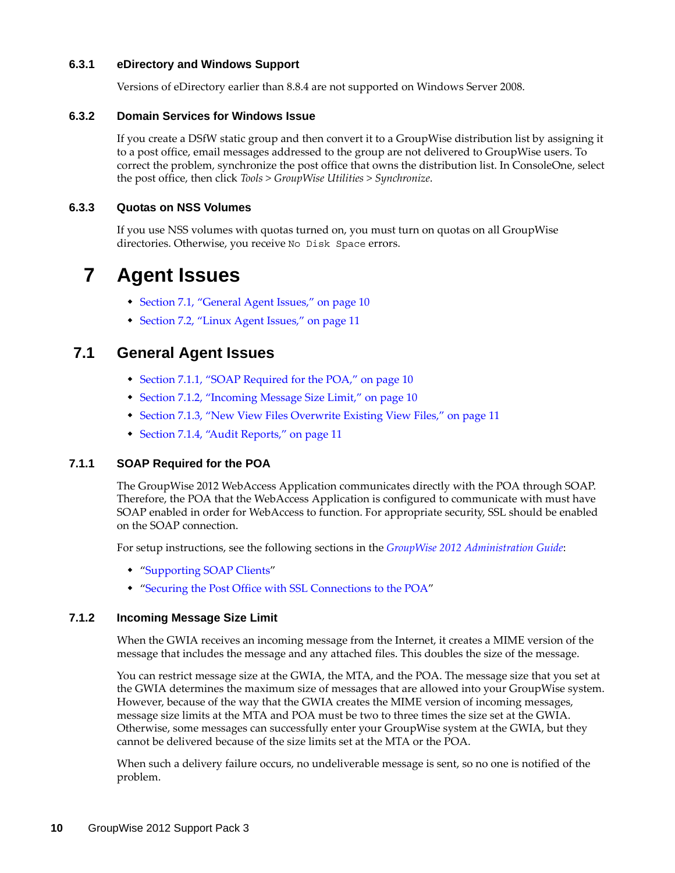### <span id="page-9-0"></span>**6.3.1 eDirectory and Windows Support**

Versions of eDirectory earlier than 8.8.4 are not supported on Windows Server 2008.

### <span id="page-9-1"></span>**6.3.2 Domain Services for Windows Issue**

If you create a DSfW static group and then convert it to a GroupWise distribution list by assigning it to a post office, email messages addressed to the group are not delivered to GroupWise users. To correct the problem, synchronize the post office that owns the distribution list. In ConsoleOne, select the post office, then click *Tools > GroupWise Utilities > Synchronize*.

### <span id="page-9-2"></span>**6.3.3 Quotas on NSS Volumes**

If you use NSS volumes with quotas turned on, you must turn on quotas on all GroupWise directories. Otherwise, you receive No Disk Space errors.

## **7 Agent Issues**

- [Section 7.1, "General Agent Issues," on page 10](#page-9-3)
- [Section 7.2, "Linux Agent Issues," on page 11](#page-10-0)

### <span id="page-9-3"></span>**7.1 General Agent Issues**

- [Section 7.1.1, "SOAP Required for the POA," on page 10](#page-9-4)
- [Section 7.1.2, "Incoming Message Size Limit," on page 10](#page-9-5)
- [Section 7.1.3, "New View Files Overwrite Existing View Files," on page 11](#page-10-1)
- [Section 7.1.4, "Audit Reports," on page 11](#page-10-2)

### <span id="page-9-4"></span>**7.1.1 SOAP Required for the POA**

The GroupWise 2012 WebAccess Application communicates directly with the POA through SOAP. Therefore, the POA that the WebAccess Application is configured to communicate with must have SOAP enabled in order for WebAccess to function. For appropriate security, SSL should be enabled on the SOAP connection.

For setup instructions, see the following sections in the *[GroupWise 2012 Administration Guide](http://www.novell.com/documentation/groupwise2012/pdfdoc/gw2012_guide_admin/gw2012_guide_admin.pdf#A2zvyc4)*:

- "[Supporting SOAP Clients](http://www.novell.com/documentation/groupwise2012/pdfdoc/gw2012_guide_admin/gw2012_guide_admin.pdf#bw907uo)"
- "[Securing the Post Office with SSL Connections to the POA"](http://www.novell.com/documentation/groupwise2012/pdfdoc/gw2012_guide_admin/gw2012_guide_admin.pdf#Adpdnme)

### <span id="page-9-5"></span>**7.1.2 Incoming Message Size Limit**

When the GWIA receives an incoming message from the Internet, it creates a MIME version of the message that includes the message and any attached files. This doubles the size of the message.

You can restrict message size at the GWIA, the MTA, and the POA. The message size that you set at the GWIA determines the maximum size of messages that are allowed into your GroupWise system. However, because of the way that the GWIA creates the MIME version of incoming messages, message size limits at the MTA and POA must be two to three times the size set at the GWIA. Otherwise, some messages can successfully enter your GroupWise system at the GWIA, but they cannot be delivered because of the size limits set at the MTA or the POA.

When such a delivery failure occurs, no undeliverable message is sent, so no one is notified of the problem.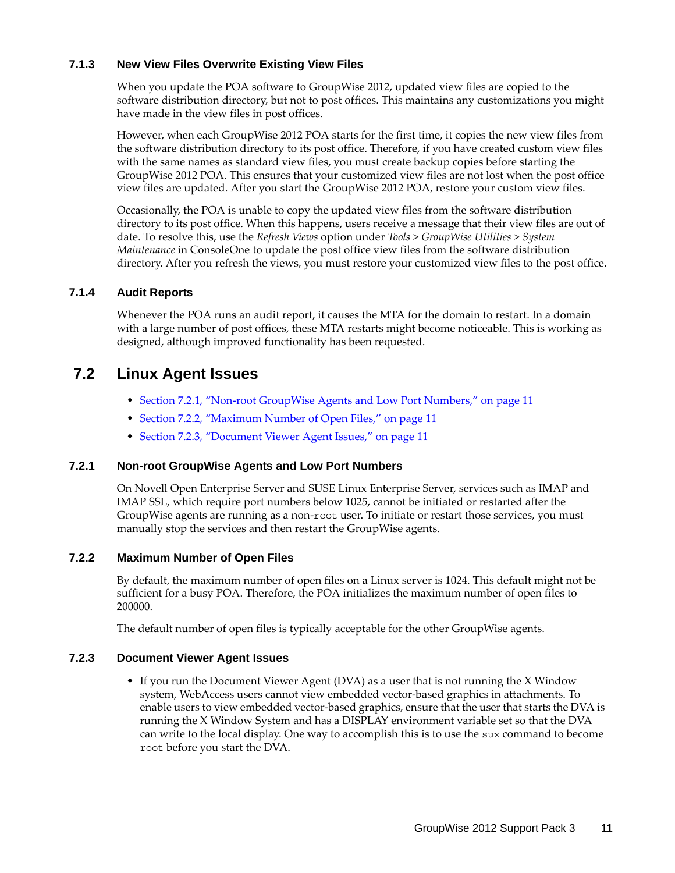### <span id="page-10-1"></span>**7.1.3 New View Files Overwrite Existing View Files**

When you update the POA software to GroupWise 2012, updated view files are copied to the software distribution directory, but not to post offices. This maintains any customizations you might have made in the view files in post offices.

However, when each GroupWise 2012 POA starts for the first time, it copies the new view files from the software distribution directory to its post office. Therefore, if you have created custom view files with the same names as standard view files, you must create backup copies before starting the GroupWise 2012 POA. This ensures that your customized view files are not lost when the post office view files are updated. After you start the GroupWise 2012 POA, restore your custom view files.

Occasionally, the POA is unable to copy the updated view files from the software distribution directory to its post office. When this happens, users receive a message that their view files are out of date. To resolve this, use the *Refresh Views* option under *Tools* > *GroupWise Utilities* > *System Maintenance* in ConsoleOne to update the post office view files from the software distribution directory. After you refresh the views, you must restore your customized view files to the post office.

### <span id="page-10-2"></span>**7.1.4 Audit Reports**

Whenever the POA runs an audit report, it causes the MTA for the domain to restart. In a domain with a large number of post offices, these MTA restarts might become noticeable. This is working as designed, although improved functionality has been requested.

### <span id="page-10-0"></span>**7.2 Linux Agent Issues**

- [Section 7.2.1, "Non-root GroupWise Agents and Low Port Numbers," on page 11](#page-10-3)
- [Section 7.2.2, "Maximum Number of Open Files," on page 11](#page-10-4)
- [Section 7.2.3, "Document Viewer Agent Issues," on page 11](#page-10-5)

### <span id="page-10-3"></span>**7.2.1 Non-root GroupWise Agents and Low Port Numbers**

On Novell Open Enterprise Server and SUSE Linux Enterprise Server, services such as IMAP and IMAP SSL, which require port numbers below 1025, cannot be initiated or restarted after the GroupWise agents are running as a non-root user. To initiate or restart those services, you must manually stop the services and then restart the GroupWise agents.

### <span id="page-10-4"></span>**7.2.2 Maximum Number of Open Files**

By default, the maximum number of open files on a Linux server is 1024. This default might not be sufficient for a busy POA. Therefore, the POA initializes the maximum number of open files to 200000.

The default number of open files is typically acceptable for the other GroupWise agents.

### <span id="page-10-5"></span>**7.2.3 Document Viewer Agent Issues**

 If you run the Document Viewer Agent (DVA) as a user that is not running the X Window system, WebAccess users cannot view embedded vector-based graphics in attachments. To enable users to view embedded vector-based graphics, ensure that the user that starts the DVA is running the X Window System and has a DISPLAY environment variable set so that the DVA can write to the local display. One way to accomplish this is to use the sux command to become root before you start the DVA.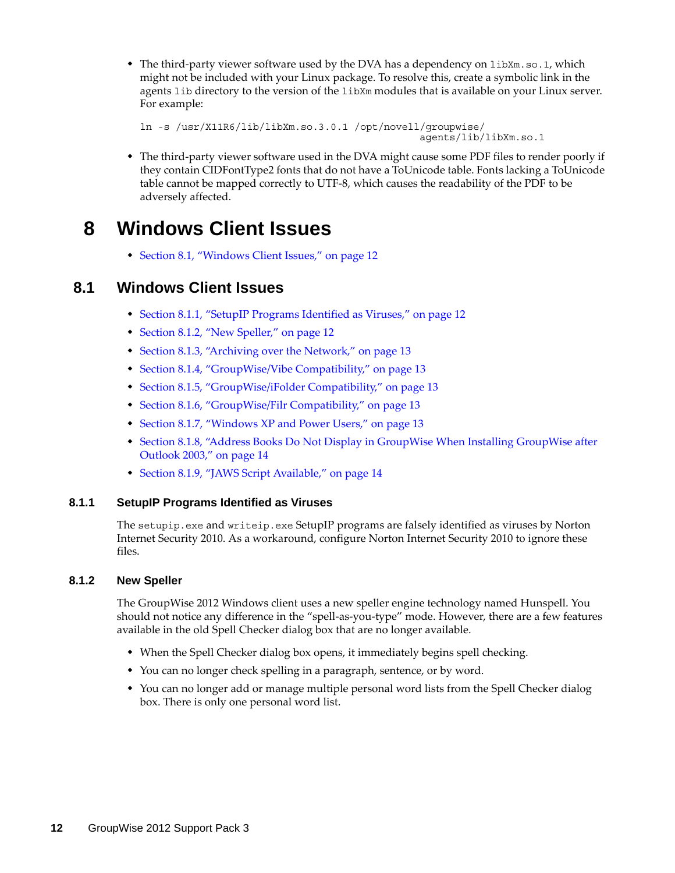• The third-party viewer software used by the DVA has a dependency on libXm.so.1, which might not be included with your Linux package. To resolve this, create a symbolic link in the agents lib directory to the version of the libXm modules that is available on your Linux server. For example:

```
ln -s /usr/X11R6/lib/libXm.so.3.0.1 /opt/novell/groupwise/
                                                 agents/lib/libXm.so.1
```
 The third-party viewer software used in the DVA might cause some PDF files to render poorly if they contain CIDFontType2 fonts that do not have a ToUnicode table. Fonts lacking a ToUnicode table cannot be mapped correctly to UTF-8, which causes the readability of the PDF to be adversely affected.

## **8 Windows Client Issues**

[Section 8.1, "Windows Client Issues," on page 12](#page-11-0)

### <span id="page-11-0"></span>**8.1 Windows Client Issues**

- [Section 8.1.1, "SetupIP Programs Identified as Viruses," on page 12](#page-11-1)
- [Section 8.1.2, "New Speller," on page 12](#page-11-2)
- [Section 8.1.3, "Archiving over the Network," on page 13](#page-12-0)
- [Section 8.1.4, "GroupWise/Vibe Compatibility," on page 13](#page-12-1)
- [Section 8.1.5, "GroupWise/iFolder Compatibility," on page 13](#page-12-2)
- [Section 8.1.6, "GroupWise/Filr Compatibility," on page 13](#page-12-3)
- [Section 8.1.7, "Windows XP and Power Users," on page 13](#page-12-4)
- [Section 8.1.8, "Address Books Do Not Display in GroupWise When Installing GroupWise after](#page-13-0)  [Outlook 2003," on page 14](#page-13-0)
- [Section 8.1.9, "JAWS Script Available," on page 14](#page-13-1)

### <span id="page-11-1"></span>**8.1.1 SetupIP Programs Identified as Viruses**

The setupip.exe and writeip.exe SetupIP programs are falsely identified as viruses by Norton Internet Security 2010. As a workaround, configure Norton Internet Security 2010 to ignore these files.

### <span id="page-11-2"></span>**8.1.2 New Speller**

The GroupWise 2012 Windows client uses a new speller engine technology named Hunspell. You should not notice any difference in the "spell-as-you-type" mode. However, there are a few features available in the old Spell Checker dialog box that are no longer available.

- When the Spell Checker dialog box opens, it immediately begins spell checking.
- You can no longer check spelling in a paragraph, sentence, or by word.
- You can no longer add or manage multiple personal word lists from the Spell Checker dialog box. There is only one personal word list.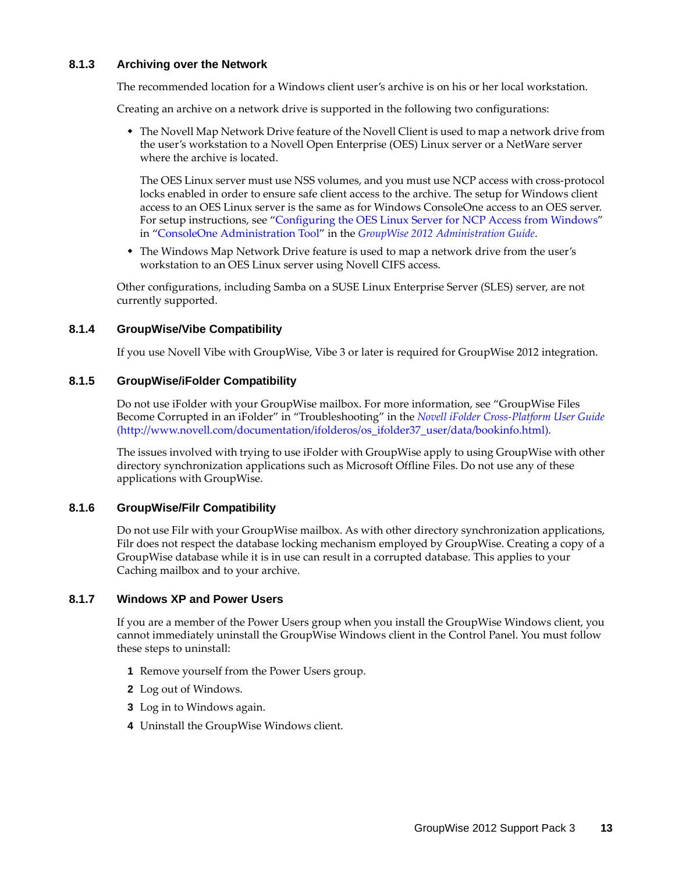### <span id="page-12-0"></span>**8.1.3 Archiving over the Network**

The recommended location for a Windows client user's archive is on his or her local workstation.

Creating an archive on a network drive is supported in the following two configurations:

 The Novell Map Network Drive feature of the Novell Client is used to map a network drive from the user's workstation to a Novell Open Enterprise (OES) Linux server or a NetWare server where the archive is located.

The OES Linux server must use NSS volumes, and you must use NCP access with cross-protocol locks enabled in order to ensure safe client access to the archive. The setup for Windows client access to an OES Linux server is the same as for Windows ConsoleOne access to an OES server. For setup instructions, see "[Configuring the OES Linux Server for NCP Access from Windows](http://www.novell.com/documentation/groupwise2012/pdfdoc/gw2012_guide_admin/gw2012_guide_admin.pdf#bw0tvxz)" in ["ConsoleOne Administration Tool"](http://www.novell.com/documentation/groupwise2012/pdfdoc/gw2012_guide_admin/gw2012_guide_admin.pdf#bwmb48w) in the *[GroupWise 2012 Administration Guide](http://www.novell.com/documentation/groupwise2012/pdfdoc/gw2012_guide_admin/gw2012_guide_admin.pdf#A2zvyc4)*.

• The Windows Map Network Drive feature is used to map a network drive from the user's workstation to an OES Linux server using Novell CIFS access.

Other configurations, including Samba on a SUSE Linux Enterprise Server (SLES) server, are not currently supported.

### <span id="page-12-1"></span>**8.1.4 GroupWise/Vibe Compatibility**

If you use Novell Vibe with GroupWise, Vibe 3 or later is required for GroupWise 2012 integration.

### <span id="page-12-2"></span>**8.1.5 GroupWise/iFolder Compatibility**

Do not use iFolder with your GroupWise mailbox. For more information, see "GroupWise Files Become Corrupted in an iFolder" in "Troubleshooting" in the *[Novell iFolder Cross-Platform User Guide](http://www.novell.com/documentation/ifolderos/os_ifolder37_user/data/bookinfo.html)* (http://www.novell.com/documentation/ifolderos/os\_ifolder37\_user/data/bookinfo.html).

The issues involved with trying to use iFolder with GroupWise apply to using GroupWise with other directory synchronization applications such as Microsoft Offline Files. Do not use any of these applications with GroupWise.

#### <span id="page-12-3"></span>**8.1.6 GroupWise/Filr Compatibility**

Do not use Filr with your GroupWise mailbox. As with other directory synchronization applications, Filr does not respect the database locking mechanism employed by GroupWise. Creating a copy of a GroupWise database while it is in use can result in a corrupted database. This applies to your Caching mailbox and to your archive.

### <span id="page-12-4"></span>**8.1.7 Windows XP and Power Users**

If you are a member of the Power Users group when you install the GroupWise Windows client, you cannot immediately uninstall the GroupWise Windows client in the Control Panel. You must follow these steps to uninstall:

- **1** Remove yourself from the Power Users group.
- **2** Log out of Windows.
- **3** Log in to Windows again.
- **4** Uninstall the GroupWise Windows client.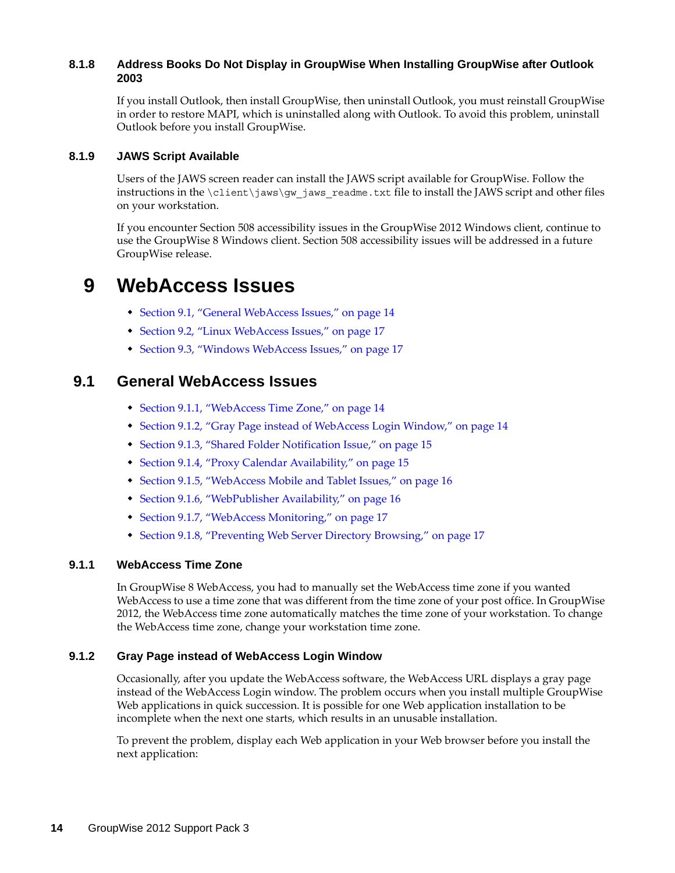### <span id="page-13-0"></span>**8.1.8 Address Books Do Not Display in GroupWise When Installing GroupWise after Outlook 2003**

If you install Outlook, then install GroupWise, then uninstall Outlook, you must reinstall GroupWise in order to restore MAPI, which is uninstalled along with Outlook. To avoid this problem, uninstall Outlook before you install GroupWise.

### <span id="page-13-1"></span>**8.1.9 JAWS Script Available**

Users of the JAWS screen reader can install the JAWS script available for GroupWise. Follow the instructions in the  $\clap{\text{client}}jaws\gtrap{\text{gw}}jaws\ readme.txt$  file to install the JAWS script and other files on your workstation.

If you encounter Section 508 accessibility issues in the GroupWise 2012 Windows client, continue to use the GroupWise 8 Windows client. Section 508 accessibility issues will be addressed in a future GroupWise release.

## **9 WebAccess Issues**

- [Section 9.1, "General WebAccess Issues," on page 14](#page-13-2)
- [Section 9.2, "Linux WebAccess Issues," on page 17](#page-16-0)
- [Section 9.3, "Windows WebAccess Issues," on page 17](#page-16-1)

### <span id="page-13-2"></span>**9.1 General WebAccess Issues**

- [Section 9.1.1, "WebAccess Time Zone," on page 14](#page-13-3)
- [Section 9.1.2, "Gray Page instead of WebAccess Login Window," on page 14](#page-13-4)
- [Section 9.1.3, "Shared Folder Notification Issue," on page 15](#page-14-0)
- [Section 9.1.4, "Proxy Calendar Availability," on page 15](#page-14-1)
- [Section 9.1.5, "WebAccess Mobile and Tablet Issues," on page 16](#page-15-0)
- [Section 9.1.6, "WebPublisher Availability," on page 16](#page-15-1)
- [Section 9.1.7, "WebAccess Monitoring," on page 17](#page-16-2)
- [Section 9.1.8, "Preventing Web Server Directory Browsing," on page 17](#page-16-3)

### <span id="page-13-3"></span>**9.1.1 WebAccess Time Zone**

In GroupWise 8 WebAccess, you had to manually set the WebAccess time zone if you wanted WebAccess to use a time zone that was different from the time zone of your post office. In GroupWise 2012, the WebAccess time zone automatically matches the time zone of your workstation. To change the WebAccess time zone, change your workstation time zone.

#### <span id="page-13-4"></span>**9.1.2 Gray Page instead of WebAccess Login Window**

Occasionally, after you update the WebAccess software, the WebAccess URL displays a gray page instead of the WebAccess Login window. The problem occurs when you install multiple GroupWise Web applications in quick succession. It is possible for one Web application installation to be incomplete when the next one starts, which results in an unusable installation.

To prevent the problem, display each Web application in your Web browser before you install the next application: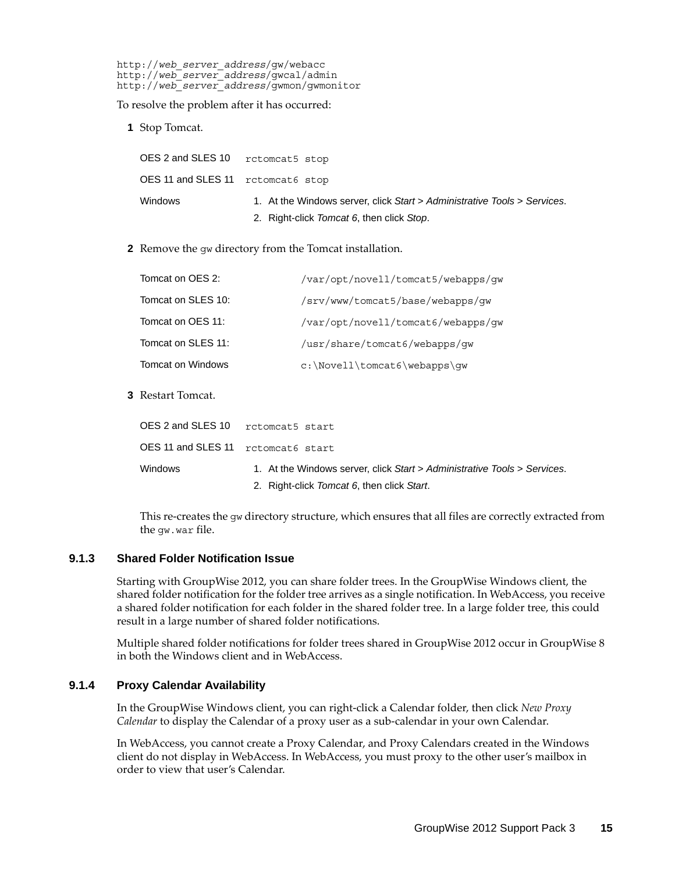http://*web\_server\_address*/gw/webacc http://*web\_server\_address*/gwcal/admin http://*web\_server\_address*/gwmon/gwmonitor

To resolve the problem after it has occurred:

**1** Stop Tomcat.

| OES 2 and SLES 10                 | rctomcat5 stop                                                           |
|-----------------------------------|--------------------------------------------------------------------------|
| OES 11 and SLES 11 retomeat6 stop |                                                                          |
| Windows                           | 1. At the Windows server, click Start > Administrative Tools > Services. |
|                                   | 2. Right-click Tomcat 6, then click Stop.                                |

**2** Remove the gw directory from the Tomcat installation.

| Tomcat on OES 2:   | /var/opt/novell/tomcat5/webapps/qw |
|--------------------|------------------------------------|
| Tomcat on SLES 10: | /srv/www/tomcat5/base/webapps/qw   |
| Tomcat on OES 11:  | /var/opt/novell/tomcat6/webapps/qw |
| Tomcat on SLES 11: | /usr/share/tomcat6/webapps/qw      |
| Tomcat on Windows  | $c:\Novell\tomcat6\webapps\qw$     |

**3** Restart Tomcat.

| OES 2 and SLES 10 retomeat5 start  |                                                                          |
|------------------------------------|--------------------------------------------------------------------------|
| OES 11 and SLES 11 retomeat6 start |                                                                          |
| <b>Windows</b>                     | 1. At the Windows server, click Start > Administrative Tools > Services. |
|                                    | 2. Right-click Tomcat 6, then click Start.                               |

This re-creates the gw directory structure, which ensures that all files are correctly extracted from the gw.war file.

#### <span id="page-14-0"></span>**9.1.3 Shared Folder Notification Issue**

Starting with GroupWise 2012, you can share folder trees. In the GroupWise Windows client, the shared folder notification for the folder tree arrives as a single notification. In WebAccess, you receive a shared folder notification for each folder in the shared folder tree. In a large folder tree, this could result in a large number of shared folder notifications.

Multiple shared folder notifications for folder trees shared in GroupWise 2012 occur in GroupWise 8 in both the Windows client and in WebAccess.

### <span id="page-14-1"></span>**9.1.4 Proxy Calendar Availability**

In the GroupWise Windows client, you can right-click a Calendar folder, then click *New Proxy Calendar* to display the Calendar of a proxy user as a sub-calendar in your own Calendar.

In WebAccess, you cannot create a Proxy Calendar, and Proxy Calendars created in the Windows client do not display in WebAccess. In WebAccess, you must proxy to the other user's mailbox in order to view that user's Calendar.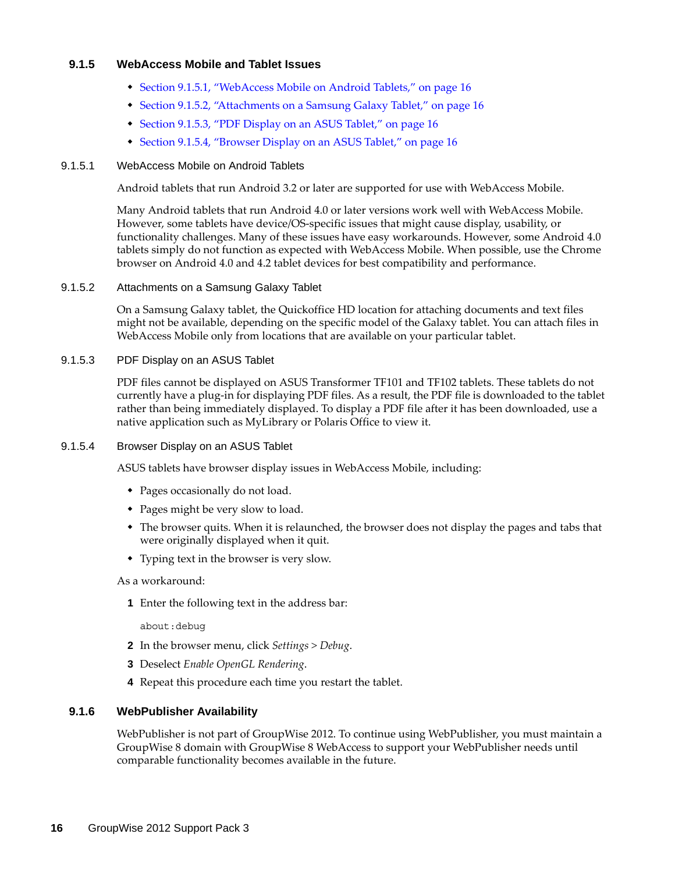### <span id="page-15-0"></span>**9.1.5 WebAccess Mobile and Tablet Issues**

- [Section 9.1.5.1, "WebAccess Mobile on Android Tablets," on page 16](#page-15-2)
- [Section 9.1.5.2, "Attachments on a Samsung Galaxy Tablet," on page 16](#page-15-3)
- [Section 9.1.5.3, "PDF Display on an ASUS Tablet," on page 16](#page-15-4)
- [Section 9.1.5.4, "Browser Display on an ASUS Tablet," on page 16](#page-15-5)

#### <span id="page-15-2"></span>9.1.5.1 WebAccess Mobile on Android Tablets

Android tablets that run Android 3.2 or later are supported for use with WebAccess Mobile.

Many Android tablets that run Android 4.0 or later versions work well with WebAccess Mobile. However, some tablets have device/OS-specific issues that might cause display, usability, or functionality challenges. Many of these issues have easy workarounds. However, some Android 4.0 tablets simply do not function as expected with WebAccess Mobile. When possible, use the Chrome browser on Android 4.0 and 4.2 tablet devices for best compatibility and performance.

#### <span id="page-15-3"></span>9.1.5.2 Attachments on a Samsung Galaxy Tablet

On a Samsung Galaxy tablet, the Quickoffice HD location for attaching documents and text files might not be available, depending on the specific model of the Galaxy tablet. You can attach files in WebAccess Mobile only from locations that are available on your particular tablet.

#### <span id="page-15-4"></span>9.1.5.3 PDF Display on an ASUS Tablet

PDF files cannot be displayed on ASUS Transformer TF101 and TF102 tablets. These tablets do not currently have a plug-in for displaying PDF files. As a result, the PDF file is downloaded to the tablet rather than being immediately displayed. To display a PDF file after it has been downloaded, use a native application such as MyLibrary or Polaris Office to view it.

### <span id="page-15-5"></span>9.1.5.4 Browser Display on an ASUS Tablet

ASUS tablets have browser display issues in WebAccess Mobile, including:

- Pages occasionally do not load.
- Pages might be very slow to load.
- The browser quits. When it is relaunched, the browser does not display the pages and tabs that were originally displayed when it quit.
- Typing text in the browser is very slow.

#### As a workaround:

**1** Enter the following text in the address bar:

about:debug

- **2** In the browser menu, click *Settings > Debug*.
- **3** Deselect *Enable OpenGL Rendering*.
- **4** Repeat this procedure each time you restart the tablet.

#### <span id="page-15-1"></span>**9.1.6 WebPublisher Availability**

WebPublisher is not part of GroupWise 2012. To continue using WebPublisher, you must maintain a GroupWise 8 domain with GroupWise 8 WebAccess to support your WebPublisher needs until comparable functionality becomes available in the future.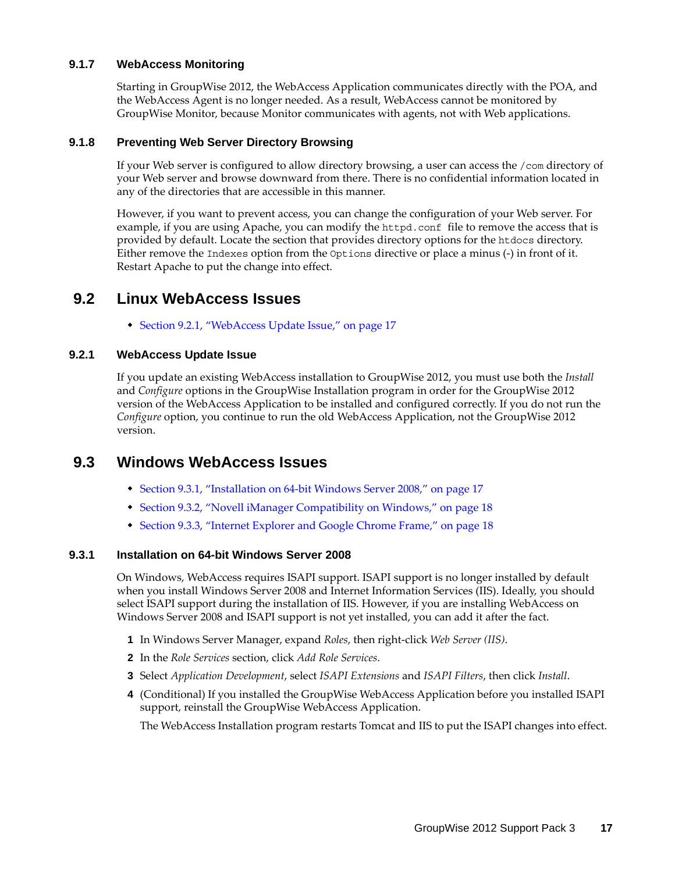### <span id="page-16-2"></span>**9.1.7 WebAccess Monitoring**

Starting in GroupWise 2012, the WebAccess Application communicates directly with the POA, and the WebAccess Agent is no longer needed. As a result, WebAccess cannot be monitored by GroupWise Monitor, because Monitor communicates with agents, not with Web applications.

### <span id="page-16-3"></span>**9.1.8 Preventing Web Server Directory Browsing**

If your Web server is configured to allow directory browsing, a user can access the /com directory of your Web server and browse downward from there. There is no confidential information located in any of the directories that are accessible in this manner.

However, if you want to prevent access, you can change the configuration of your Web server. For example, if you are using Apache, you can modify the httpd.conf file to remove the access that is provided by default. Locate the section that provides directory options for the htdocs directory. Either remove the Indexes option from the Options directive or place a minus (-) in front of it. Restart Apache to put the change into effect.

### <span id="page-16-0"></span>**9.2 Linux WebAccess Issues**

[Section 9.2.1, "WebAccess Update Issue," on page 17](#page-16-4)

### <span id="page-16-4"></span>**9.2.1 WebAccess Update Issue**

If you update an existing WebAccess installation to GroupWise 2012, you must use both the *Install* and *Configure* options in the GroupWise Installation program in order for the GroupWise 2012 version of the WebAccess Application to be installed and configured correctly. If you do not run the *Configure* option, you continue to run the old WebAccess Application, not the GroupWise 2012 version.

### <span id="page-16-1"></span>**9.3 Windows WebAccess Issues**

- [Section 9.3.1, "Installation on 64-bit Windows Server 2008," on page 17](#page-16-5)
- [Section 9.3.2, "Novell iManager Compatibility on Windows," on page 18](#page-17-0)
- [Section 9.3.3, "Internet Explorer and Google Chrome Frame," on page 18](#page-17-1)

### <span id="page-16-5"></span>**9.3.1 Installation on 64-bit Windows Server 2008**

On Windows, WebAccess requires ISAPI support. ISAPI support is no longer installed by default when you install Windows Server 2008 and Internet Information Services (IIS). Ideally, you should select ISAPI support during the installation of IIS. However, if you are installing WebAccess on Windows Server 2008 and ISAPI support is not yet installed, you can add it after the fact.

- **1** In Windows Server Manager, expand *Roles*, then right-click *Web Server (IIS)*.
- **2** In the *Role Services* section, click *Add Role Services*.
- **3** Select *Application Development*, select *ISAPI Extensions* and *ISAPI Filters*, then click *Install*.
- **4** (Conditional) If you installed the GroupWise WebAccess Application before you installed ISAPI support, reinstall the GroupWise WebAccess Application.

The WebAccess Installation program restarts Tomcat and IIS to put the ISAPI changes into effect.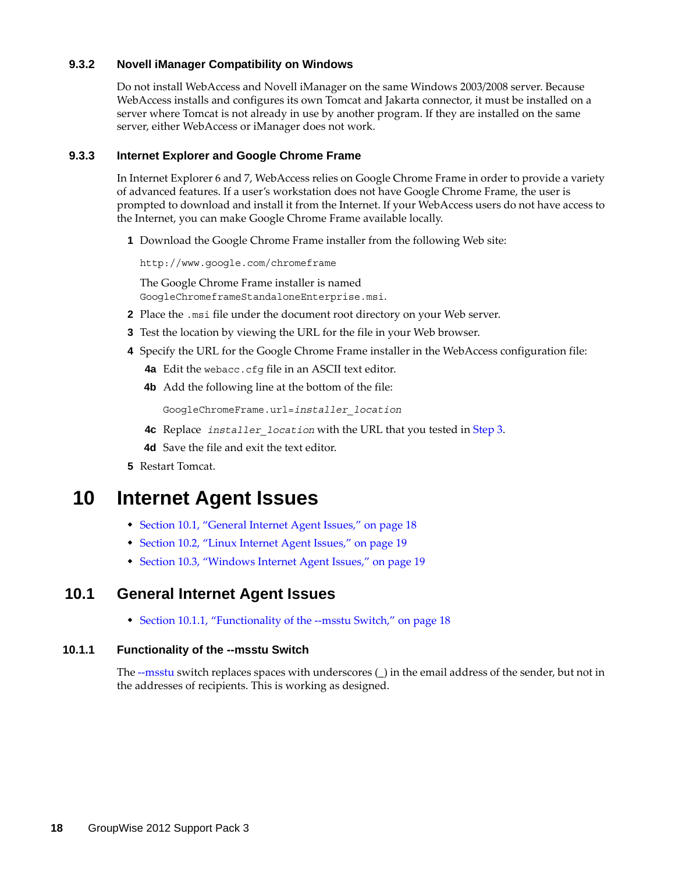### <span id="page-17-0"></span>**9.3.2 Novell iManager Compatibility on Windows**

Do not install WebAccess and Novell iManager on the same Windows 2003/2008 server. Because WebAccess installs and configures its own Tomcat and Jakarta connector, it must be installed on a server where Tomcat is not already in use by another program. If they are installed on the same server, either WebAccess or iManager does not work.

### <span id="page-17-1"></span>**9.3.3 Internet Explorer and Google Chrome Frame**

In Internet Explorer 6 and 7, WebAccess relies on Google Chrome Frame in order to provide a variety of advanced features. If a user's workstation does not have Google Chrome Frame, the user is prompted to download and install it from the Internet. If your WebAccess users do not have access to the Internet, you can make Google Chrome Frame available locally.

**1** Download the Google Chrome Frame installer from the following Web site:

http://www.google.com/chromeframe

The Google Chrome Frame installer is named GoogleChromeframeStandaloneEnterprise.msi.

- **2** Place the .msi file under the document root directory on your Web server.
- <span id="page-17-2"></span>**3** Test the location by viewing the URL for the file in your Web browser.
- **4** Specify the URL for the Google Chrome Frame installer in the WebAccess configuration file:
	- **4a** Edit the webacc.cfg file in an ASCII text editor.
	- **4b** Add the following line at the bottom of the file:

GoogleChromeFrame.url=*installer\_location*

- **4c** Replace *installer\_location* with the URL that you tested in [Step 3](#page-17-2).
- **4d** Save the file and exit the text editor.
- **5** Restart Tomcat.

## **10 Internet Agent Issues**

- [Section 10.1, "General Internet Agent Issues," on page 18](#page-17-3)
- [Section 10.2, "Linux Internet Agent Issues," on page 19](#page-18-0)
- [Section 10.3, "Windows Internet Agent Issues," on page 19](#page-18-1)

### <span id="page-17-3"></span>**10.1 General Internet Agent Issues**

[Section 10.1.1, "Functionality of the --msstu Switch," on page 18](#page-17-4)

### <span id="page-17-4"></span>**10.1.1 Functionality of the --msstu Switch**

The [--msstu](http://www.novell.com/documentation/groupwise2012/pdfdoc/gw2012_guide_admin/gw2012_guide_admin.pdf#Aig3qut) switch replaces spaces with underscores (\_) in the email address of the sender, but not in the addresses of recipients. This is working as designed.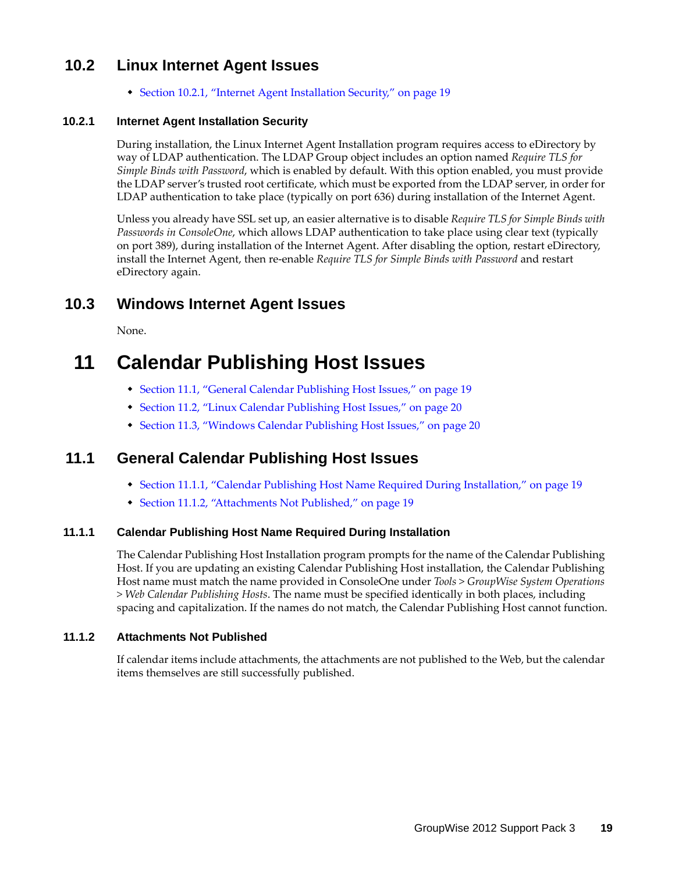### <span id="page-18-0"></span>**10.2 Linux Internet Agent Issues**

[Section 10.2.1, "Internet Agent Installation Security," on page 19](#page-18-2)

### <span id="page-18-2"></span>**10.2.1 Internet Agent Installation Security**

During installation, the Linux Internet Agent Installation program requires access to eDirectory by way of LDAP authentication. The LDAP Group object includes an option named *Require TLS for Simple Binds with Password*, which is enabled by default. With this option enabled, you must provide the LDAP server's trusted root certificate, which must be exported from the LDAP server, in order for LDAP authentication to take place (typically on port 636) during installation of the Internet Agent.

Unless you already have SSL set up, an easier alternative is to disable *Require TLS for Simple Binds with Passwords in ConsoleOne*, which allows LDAP authentication to take place using clear text (typically on port 389), during installation of the Internet Agent. After disabling the option, restart eDirectory, install the Internet Agent, then re-enable *Require TLS for Simple Binds with Password* and restart eDirectory again.

### <span id="page-18-1"></span>**10.3 Windows Internet Agent Issues**

None.

# **11 Calendar Publishing Host Issues**

- [Section 11.1, "General Calendar Publishing Host Issues," on page 19](#page-18-3)
- [Section 11.2, "Linux Calendar Publishing Host Issues," on page 20](#page-19-0)
- [Section 11.3, "Windows Calendar Publishing Host Issues," on page 20](#page-19-1)

### <span id="page-18-3"></span>**11.1 General Calendar Publishing Host Issues**

- [Section 11.1.1, "Calendar Publishing Host Name Required During Installation," on page 19](#page-18-4)
- [Section 11.1.2, "Attachments Not Published," on page 19](#page-18-5)

### <span id="page-18-4"></span>**11.1.1 Calendar Publishing Host Name Required During Installation**

The Calendar Publishing Host Installation program prompts for the name of the Calendar Publishing Host. If you are updating an existing Calendar Publishing Host installation, the Calendar Publishing Host name must match the name provided in ConsoleOne under *Tools > GroupWise System Operations > Web Calendar Publishing Hosts*. The name must be specified identically in both places, including spacing and capitalization. If the names do not match, the Calendar Publishing Host cannot function.

### <span id="page-18-5"></span>**11.1.2 Attachments Not Published**

If calendar items include attachments, the attachments are not published to the Web, but the calendar items themselves are still successfully published.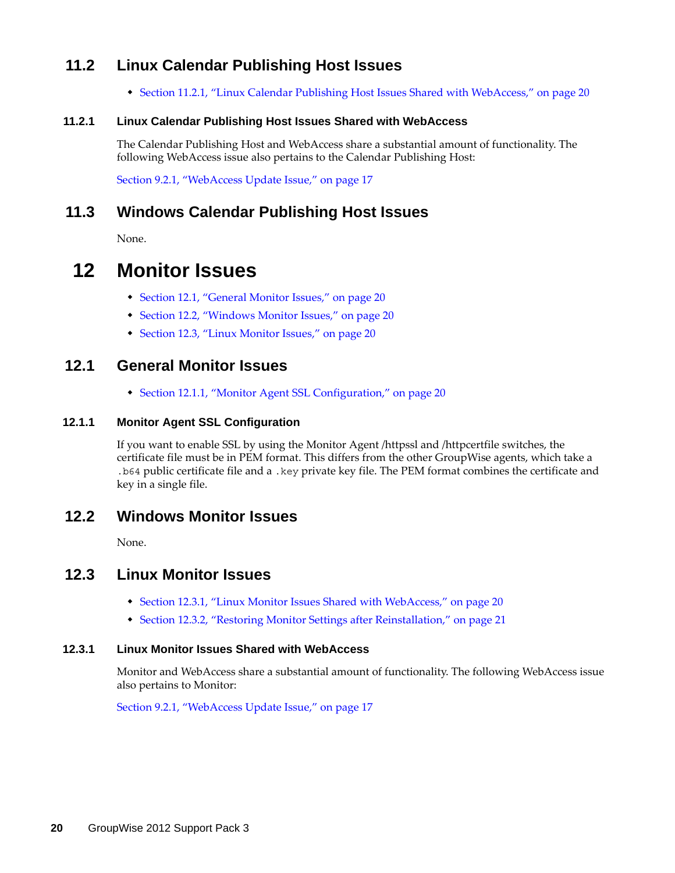### <span id="page-19-0"></span>**11.2 Linux Calendar Publishing Host Issues**

[Section 11.2.1, "Linux Calendar Publishing Host Issues Shared with WebAccess," on page 20](#page-19-2)

### <span id="page-19-2"></span>**11.2.1 Linux Calendar Publishing Host Issues Shared with WebAccess**

The Calendar Publishing Host and WebAccess share a substantial amount of functionality. The following WebAccess issue also pertains to the Calendar Publishing Host:

[Section 9.2.1, "WebAccess Update Issue," on page 17](#page-16-4)

### <span id="page-19-1"></span>**11.3 Windows Calendar Publishing Host Issues**

None.

## **12 Monitor Issues**

- [Section 12.1, "General Monitor Issues," on page 20](#page-19-3)
- [Section 12.2, "Windows Monitor Issues," on page 20](#page-19-4)
- [Section 12.3, "Linux Monitor Issues," on page 20](#page-19-5)

### <span id="page-19-3"></span>**12.1 General Monitor Issues**

[Section 12.1.1, "Monitor Agent SSL Configuration," on page 20](#page-19-6)

### <span id="page-19-6"></span>**12.1.1 Monitor Agent SSL Configuration**

If you want to enable SSL by using the Monitor Agent /httpssl and /httpcertfile switches, the certificate file must be in PEM format. This differs from the other GroupWise agents, which take a .b64 public certificate file and a .key private key file. The PEM format combines the certificate and key in a single file.

### <span id="page-19-4"></span>**12.2 Windows Monitor Issues**

None.

### <span id="page-19-5"></span>**12.3 Linux Monitor Issues**

- [Section 12.3.1, "Linux Monitor Issues Shared with WebAccess," on page 20](#page-19-7)
- [Section 12.3.2, "Restoring Monitor Settings after Reinstallation," on page 21](#page-20-0)

### <span id="page-19-7"></span>**12.3.1 Linux Monitor Issues Shared with WebAccess**

Monitor and WebAccess share a substantial amount of functionality. The following WebAccess issue also pertains to Monitor:

[Section 9.2.1, "WebAccess Update Issue," on page 17](#page-16-4)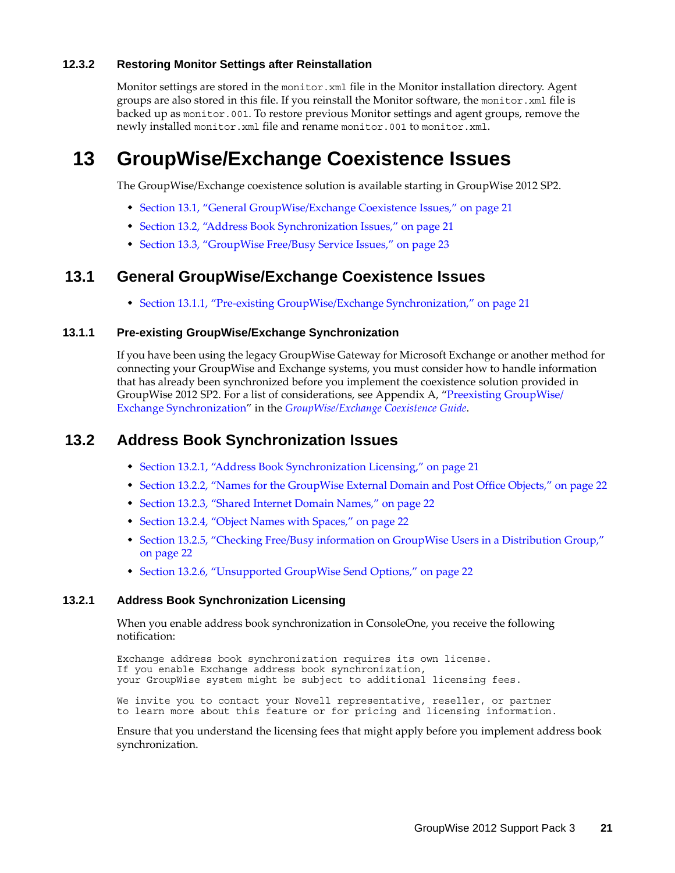### <span id="page-20-0"></span>**12.3.2 Restoring Monitor Settings after Reinstallation**

Monitor settings are stored in the monitor. xml file in the Monitor installation directory. Agent groups are also stored in this file. If you reinstall the Monitor software, the monitor.xml file is backed up as monitor.001. To restore previous Monitor settings and agent groups, remove the newly installed monitor.xml file and rename monitor.001 to monitor.xml.

## **13 GroupWise/Exchange Coexistence Issues**

The GroupWise/Exchange coexistence solution is available starting in GroupWise 2012 SP2.

- [Section 13.1, "General GroupWise/Exchange Coexistence Issues," on page 21](#page-20-1)
- [Section 13.2, "Address Book Synchronization Issues," on page 21](#page-20-2)
- [Section 13.3, "GroupWise Free/Busy Service Issues," on page 23](#page-22-0)

### <span id="page-20-1"></span>**13.1 General GroupWise/Exchange Coexistence Issues**

[Section 13.1.1, "Pre-existing GroupWise/Exchange Synchronization," on page 21](#page-20-3)

### <span id="page-20-3"></span>**13.1.1 Pre-existing GroupWise/Exchange Synchronization**

If you have been using the legacy GroupWise Gateway for Microsoft Exchange or another method for connecting your GroupWise and Exchange systems, you must consider how to handle information that has already been synchronized before you implement the coexistence solution provided in GroupWise 2012 SP2. For a list of considerations, see Appendix A, "[Preexisting GroupWise/](http://www.novell.com/documentation/groupwise2012/pdfdoc/gw2012_guide_exchcoexist/gw2012_guide_exchcoexist.pdf#b14fmrgi) [Exchange Synchronization"](http://www.novell.com/documentation/groupwise2012/pdfdoc/gw2012_guide_exchcoexist/gw2012_guide_exchcoexist.pdf#b14fmrgi) in the *[GroupWise/Exchange Coexistence Guide](http://www.novell.com/documentation/groupwise2012/pdfdoc/gw2012_guide_exchcoexist/gw2012_guide_exchcoexist.pdf#bookinfo)*.

### <span id="page-20-2"></span>**13.2 Address Book Synchronization Issues**

- [Section 13.2.1, "Address Book Synchronization Licensing," on page 21](#page-20-4)
- [Section 13.2.2, "Names for the GroupWise External Domain and Post Office Objects," on page 22](#page-21-0)
- [Section 13.2.3, "Shared Internet Domain Names," on page 22](#page-21-1)
- [Section 13.2.4, "Object Names with Spaces," on page 22](#page-21-2)
- [Section 13.2.5, "Checking Free/Busy information on GroupWise Users in a Distribution Group,"](#page-21-3)  [on page 22](#page-21-3)
- [Section 13.2.6, "Unsupported GroupWise Send Options," on page 22](#page-21-4)

### <span id="page-20-4"></span>**13.2.1 Address Book Synchronization Licensing**

When you enable address book synchronization in ConsoleOne, you receive the following notification:

Exchange address book synchronization requires its own license. If you enable Exchange address book synchronization, your GroupWise system might be subject to additional licensing fees.

We invite you to contact your Novell representative, reseller, or partner to learn more about this feature or for pricing and licensing information.

Ensure that you understand the licensing fees that might apply before you implement address book synchronization.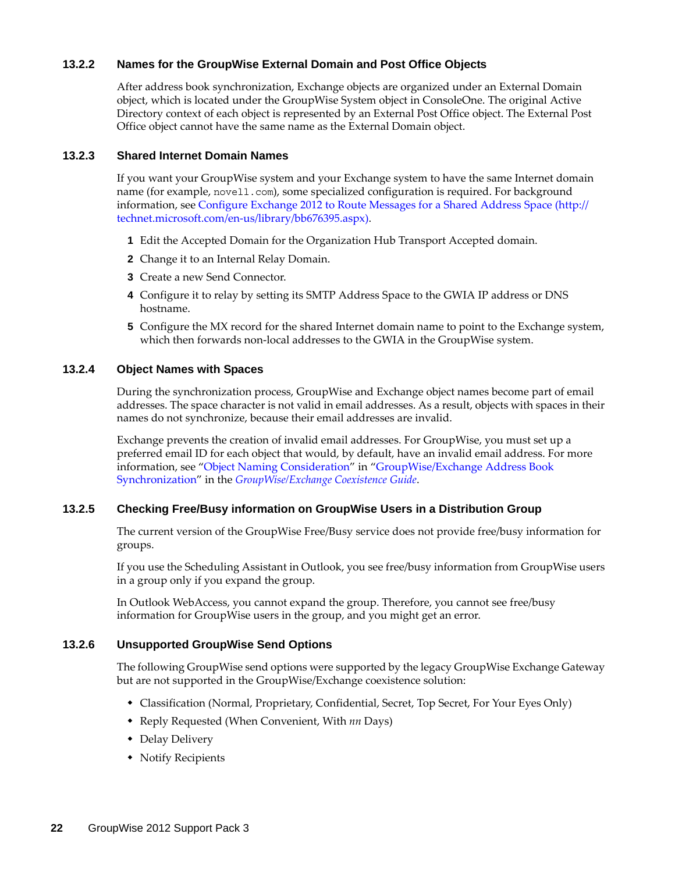### <span id="page-21-0"></span>**13.2.2 Names for the GroupWise External Domain and Post Office Objects**

After address book synchronization, Exchange objects are organized under an External Domain object, which is located under the GroupWise System object in ConsoleOne. The original Active Directory context of each object is represented by an External Post Office object. The External Post Office object cannot have the same name as the External Domain object.

### <span id="page-21-1"></span>**13.2.3 Shared Internet Domain Names**

If you want your GroupWise system and your Exchange system to have the same Internet domain name (for example, novell.com), some specialized configuration is required. For background information, see [Configure Exchange 2012 to Route Messages for a Shared Address Space](http://technet.microsoft.com/en-us/library/bb676395.aspx) (http:// technet.microsoft.com/en-us/library/bb676395.aspx).

- **1** Edit the Accepted Domain for the Organization Hub Transport Accepted domain.
- **2** Change it to an Internal Relay Domain.
- **3** Create a new Send Connector.
- **4** Configure it to relay by setting its SMTP Address Space to the GWIA IP address or DNS hostname.
- **5** Configure the MX record for the shared Internet domain name to point to the Exchange system, which then forwards non-local addresses to the GWIA in the GroupWise system.

### <span id="page-21-2"></span>**13.2.4 Object Names with Spaces**

During the synchronization process, GroupWise and Exchange object names become part of email addresses. The space character is not valid in email addresses. As a result, objects with spaces in their names do not synchronize, because their email addresses are invalid.

Exchange prevents the creation of invalid email addresses. For GroupWise, you must set up a preferred email ID for each object that would, by default, have an invalid email address. For more information, see "[Object Naming Consideration](http://www.novell.com/documentation/groupwise2012/pdfdoc/gw2012_guide_exchcoexist/gw2012_guide_exchcoexist.pdf#b12kt35i)" in ["GroupWise/Exchange Address Book](http://www.novell.com/documentation/groupwise2012/pdfdoc/gw2012_guide_exchcoexist/gw2012_guide_exchcoexist.pdf#bzqlm38)  [Synchronization](http://www.novell.com/documentation/groupwise2012/pdfdoc/gw2012_guide_exchcoexist/gw2012_guide_exchcoexist.pdf#bzqlm38)" in the *[GroupWise/Exchange Coexistence Guide](http://www.novell.com/documentation/groupwise2012/pdfdoc/gw2012_guide_exchcoexist/gw2012_guide_exchcoexist.pdf#bookinfo)*.

### <span id="page-21-3"></span>**13.2.5 Checking Free/Busy information on GroupWise Users in a Distribution Group**

The current version of the GroupWise Free/Busy service does not provide free/busy information for groups.

If you use the Scheduling Assistant in Outlook, you see free/busy information from GroupWise users in a group only if you expand the group.

In Outlook WebAccess, you cannot expand the group. Therefore, you cannot see free/busy information for GroupWise users in the group, and you might get an error.

### <span id="page-21-4"></span>**13.2.6 Unsupported GroupWise Send Options**

The following GroupWise send options were supported by the legacy GroupWise Exchange Gateway but are not supported in the GroupWise/Exchange coexistence solution:

- Classification (Normal, Proprietary, Confidential, Secret, Top Secret, For Your Eyes Only)
- Reply Requested (When Convenient, With *nn* Days)
- Delay Delivery
- Notify Recipients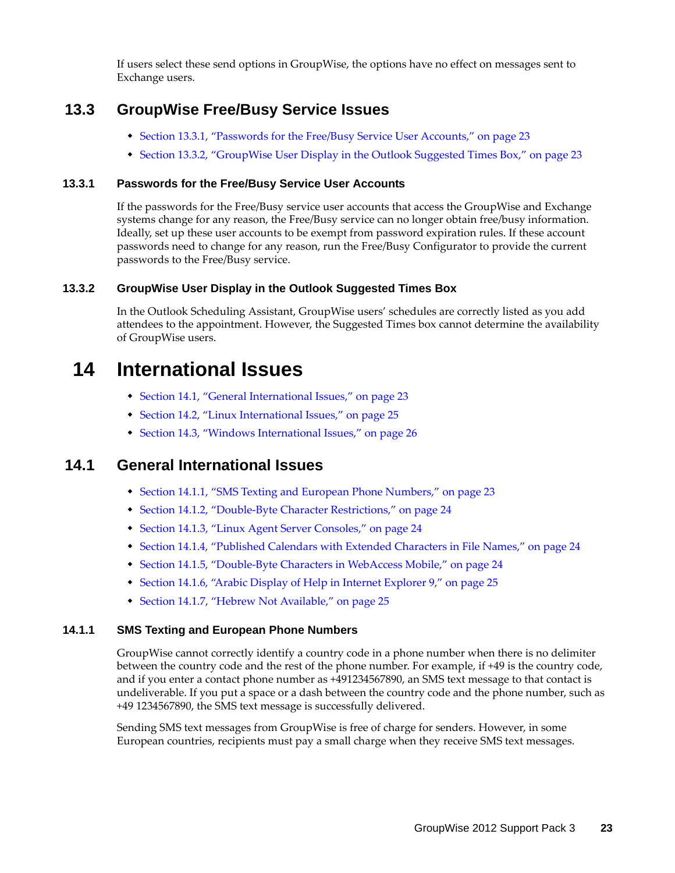If users select these send options in GroupWise, the options have no effect on messages sent to Exchange users.

### <span id="page-22-0"></span>**13.3 GroupWise Free/Busy Service Issues**

- [Section 13.3.1, "Passwords for the Free/Busy Service User Accounts," on page 23](#page-22-1)
- \* [Section 13.3.2, "GroupWise User Display in the Outlook Suggested Times Box," on page 23](#page-22-2)

### <span id="page-22-1"></span>**13.3.1 Passwords for the Free/Busy Service User Accounts**

If the passwords for the Free/Busy service user accounts that access the GroupWise and Exchange systems change for any reason, the Free/Busy service can no longer obtain free/busy information. Ideally, set up these user accounts to be exempt from password expiration rules. If these account passwords need to change for any reason, run the Free/Busy Configurator to provide the current passwords to the Free/Busy service.

### <span id="page-22-2"></span>**13.3.2 GroupWise User Display in the Outlook Suggested Times Box**

In the Outlook Scheduling Assistant, GroupWise users' schedules are correctly listed as you add attendees to the appointment. However, the Suggested Times box cannot determine the availability of GroupWise users.

## **14 International Issues**

- [Section 14.1, "General International Issues," on page 23](#page-22-3)
- [Section 14.2, "Linux International Issues," on page 25](#page-24-0)
- [Section 14.3, "Windows International Issues," on page 26](#page-25-0)

### <span id="page-22-3"></span>**14.1 General International Issues**

- [Section 14.1.1, "SMS Texting and European Phone Numbers," on page 23](#page-22-4)
- [Section 14.1.2, "Double-Byte Character Restrictions," on page 24](#page-23-0)
- [Section 14.1.3, "Linux Agent Server Consoles," on page 24](#page-23-1)
- [Section 14.1.4, "Published Calendars with Extended Characters in File Names," on page 24](#page-23-2)
- [Section 14.1.5, "Double-Byte Characters in WebAccess Mobile," on page 24](#page-23-3)
- [Section 14.1.6, "Arabic Display of Help in Internet Explorer 9," on page 25](#page-24-1)
- [Section 14.1.7, "Hebrew Not Available," on page 25](#page-24-2)

### <span id="page-22-4"></span>**14.1.1 SMS Texting and European Phone Numbers**

GroupWise cannot correctly identify a country code in a phone number when there is no delimiter between the country code and the rest of the phone number. For example, if +49 is the country code, and if you enter a contact phone number as +491234567890, an SMS text message to that contact is undeliverable. If you put a space or a dash between the country code and the phone number, such as +49 1234567890, the SMS text message is successfully delivered.

Sending SMS text messages from GroupWise is free of charge for senders. However, in some European countries, recipients must pay a small charge when they receive SMS text messages.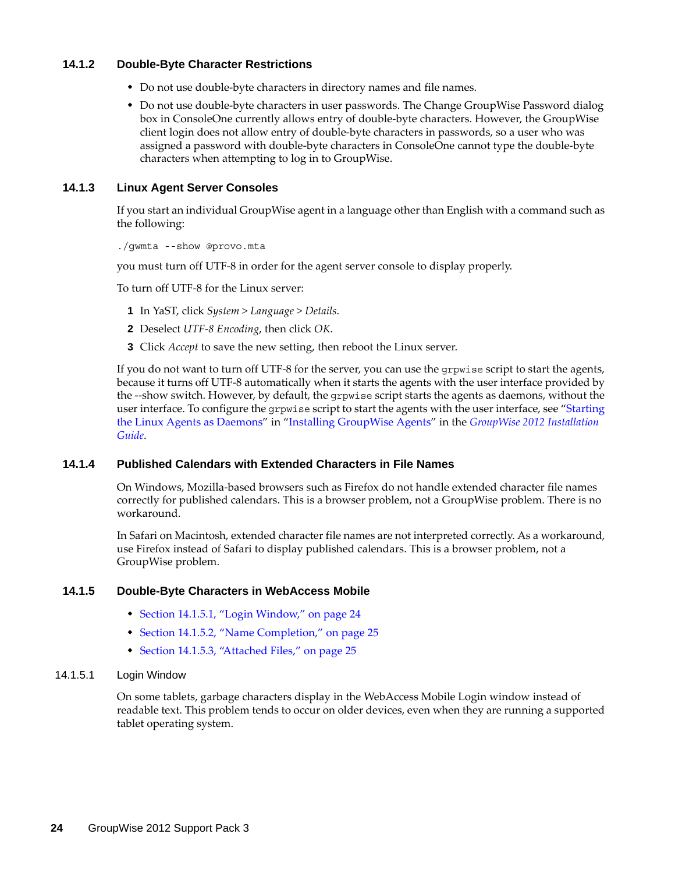### <span id="page-23-0"></span>**14.1.2 Double-Byte Character Restrictions**

- Do not use double-byte characters in directory names and file names.
- Do not use double-byte characters in user passwords. The Change GroupWise Password dialog box in ConsoleOne currently allows entry of double-byte characters. However, the GroupWise client login does not allow entry of double-byte characters in passwords, so a user who was assigned a password with double-byte characters in ConsoleOne cannot type the double-byte characters when attempting to log in to GroupWise.

### <span id="page-23-1"></span>**14.1.3 Linux Agent Server Consoles**

If you start an individual GroupWise agent in a language other than English with a command such as the following:

./gwmta --show @provo.mta

you must turn off UTF-8 in order for the agent server console to display properly.

To turn off UTF-8 for the Linux server:

- **1** In YaST, click *System > Language > Details*.
- **2** Deselect *UTF-8 Encoding*, then click *OK*.
- **3** Click *Accept* to save the new setting, then reboot the Linux server.

If you do not want to turn off UTF-8 for the server, you can use the grpwise script to start the agents, because it turns off UTF-8 automatically when it starts the agents with the user interface provided by the --show switch. However, by default, the grpwise script starts the agents as daemons, without the user interface. To configure the grpwise script to start the agents with the user interface, see "[Starting](http://www.novell.com/documentation/groupwise2012/pdfdoc/gw2012_guide_install/gw2012_guide_install.pdf#bq5d7ly)  [the Linux Agents as Daemons](http://www.novell.com/documentation/groupwise2012/pdfdoc/gw2012_guide_install/gw2012_guide_install.pdf#bq5d7ly)" in ["Installing GroupWise Agents](http://www.novell.com/documentation/groupwise2012/pdfdoc/gw2012_guide_install/gw2012_guide_install.pdf#A8pam03)" in the *[GroupWise 2012 Installation](http://www.novell.com/documentation/groupwise2012/pdfdoc/gw2012_guide_install/gw2012_guide_install.pdf#gw2012guideinst)  [Guide](http://www.novell.com/documentation/groupwise2012/pdfdoc/gw2012_guide_install/gw2012_guide_install.pdf#gw2012guideinst)*.

#### <span id="page-23-2"></span>**14.1.4 Published Calendars with Extended Characters in File Names**

On Windows, Mozilla-based browsers such as Firefox do not handle extended character file names correctly for published calendars. This is a browser problem, not a GroupWise problem. There is no workaround.

In Safari on Macintosh, extended character file names are not interpreted correctly. As a workaround, use Firefox instead of Safari to display published calendars. This is a browser problem, not a GroupWise problem.

#### <span id="page-23-3"></span>**14.1.5 Double-Byte Characters in WebAccess Mobile**

- [Section 14.1.5.1, "Login Window," on page 24](#page-23-4)
- [Section 14.1.5.2, "Name Completion," on page 25](#page-24-3)
- [Section 14.1.5.3, "Attached Files," on page 25](#page-24-4)

#### <span id="page-23-4"></span>14.1.5.1 Login Window

On some tablets, garbage characters display in the WebAccess Mobile Login window instead of readable text. This problem tends to occur on older devices, even when they are running a supported tablet operating system.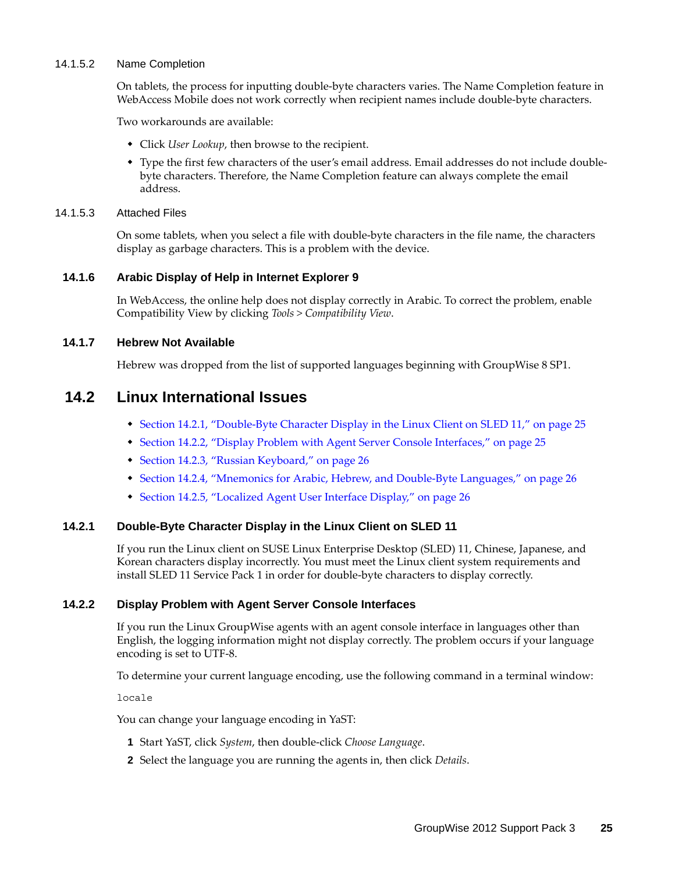#### <span id="page-24-3"></span>14.1.5.2 Name Completion

On tablets, the process for inputting double-byte characters varies. The Name Completion feature in WebAccess Mobile does not work correctly when recipient names include double-byte characters.

Two workarounds are available:

- Click *User Lookup*, then browse to the recipient.
- Type the first few characters of the user's email address. Email addresses do not include doublebyte characters. Therefore, the Name Completion feature can always complete the email address.

#### <span id="page-24-4"></span>14.1.5.3 Attached Files

On some tablets, when you select a file with double-byte characters in the file name, the characters display as garbage characters. This is a problem with the device.

#### <span id="page-24-1"></span>**14.1.6 Arabic Display of Help in Internet Explorer 9**

In WebAccess, the online help does not display correctly in Arabic. To correct the problem, enable Compatibility View by clicking *Tools > Compatibility View*.

#### <span id="page-24-2"></span>**14.1.7 Hebrew Not Available**

Hebrew was dropped from the list of supported languages beginning with GroupWise 8 SP1.

### <span id="page-24-0"></span>**14.2 Linux International Issues**

- [Section 14.2.1, "Double-Byte Character Display in the Linux Client on SLED 11," on page 25](#page-24-5)
- [Section 14.2.2, "Display Problem with Agent Server Console Interfaces," on page 25](#page-24-6)
- [Section 14.2.3, "Russian Keyboard," on page 26](#page-25-1)
- [Section 14.2.4, "Mnemonics for Arabic, Hebrew, and Double-Byte Languages," on page 26](#page-25-2)
- [Section 14.2.5, "Localized Agent User Interface Display," on page 26](#page-25-3)

#### <span id="page-24-5"></span>**14.2.1 Double-Byte Character Display in the Linux Client on SLED 11**

If you run the Linux client on SUSE Linux Enterprise Desktop (SLED) 11, Chinese, Japanese, and Korean characters display incorrectly. You must meet the Linux client system requirements and install SLED 11 Service Pack 1 in order for double-byte characters to display correctly.

### <span id="page-24-6"></span>**14.2.2 Display Problem with Agent Server Console Interfaces**

If you run the Linux GroupWise agents with an agent console interface in languages other than English, the logging information might not display correctly. The problem occurs if your language encoding is set to UTF-8.

To determine your current language encoding, use the following command in a terminal window:

locale

You can change your language encoding in YaST:

- **1** Start YaST, click *System*, then double-click *Choose Language*.
- **2** Select the language you are running the agents in, then click *Details*.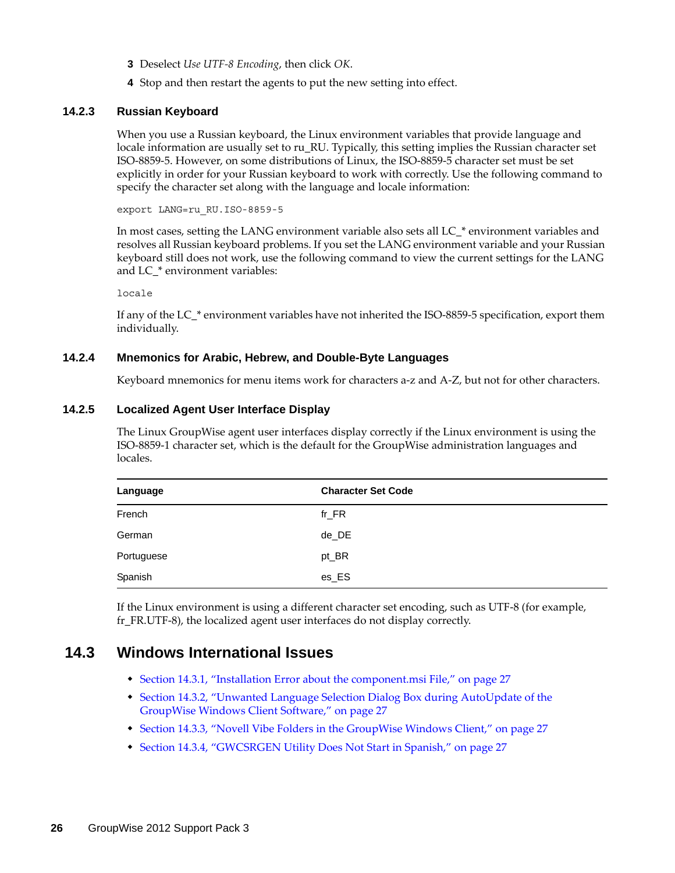- **3** Deselect *Use UTF-8 Encoding*, then click *OK*.
- **4** Stop and then restart the agents to put the new setting into effect.

### <span id="page-25-1"></span>**14.2.3 Russian Keyboard**

When you use a Russian keyboard, the Linux environment variables that provide language and locale information are usually set to ru\_RU. Typically, this setting implies the Russian character set ISO-8859-5. However, on some distributions of Linux, the ISO-8859-5 character set must be set explicitly in order for your Russian keyboard to work with correctly. Use the following command to specify the character set along with the language and locale information:

export LANG=ru\_RU.ISO-8859-5

In most cases, setting the LANG environment variable also sets all LC\_\* environment variables and resolves all Russian keyboard problems. If you set the LANG environment variable and your Russian keyboard still does not work, use the following command to view the current settings for the LANG and LC\_\* environment variables:

locale

If any of the LC\_\* environment variables have not inherited the ISO-8859-5 specification, export them individually.

### <span id="page-25-2"></span>**14.2.4 Mnemonics for Arabic, Hebrew, and Double-Byte Languages**

Keyboard mnemonics for menu items work for characters a-z and A-Z, but not for other characters.

### <span id="page-25-3"></span>**14.2.5 Localized Agent User Interface Display**

The Linux GroupWise agent user interfaces display correctly if the Linux environment is using the ISO-8859-1 character set, which is the default for the GroupWise administration languages and locales.

| Language   | <b>Character Set Code</b> |
|------------|---------------------------|
| French     | $fr_F$ R                  |
| German     | de_DE                     |
| Portuguese | pt_BR                     |
| Spanish    | es_ES                     |

If the Linux environment is using a different character set encoding, such as UTF-8 (for example, fr\_FR.UTF-8), the localized agent user interfaces do not display correctly.

### <span id="page-25-0"></span>**14.3 Windows International Issues**

- [Section 14.3.1, "Installation Error about the component.msi File," on page 27](#page-26-0)
- [Section 14.3.2, "Unwanted Language Selection Dialog Box during AutoUpdate of the](#page-26-1)  [GroupWise Windows Client Software," on page 27](#page-26-1)
- [Section 14.3.3, "Novell Vibe Folders in the GroupWise Windows Client," on page 27](#page-26-2)
- [Section 14.3.4, "GWCSRGEN Utility Does Not Start in Spanish," on page 27](#page-26-3)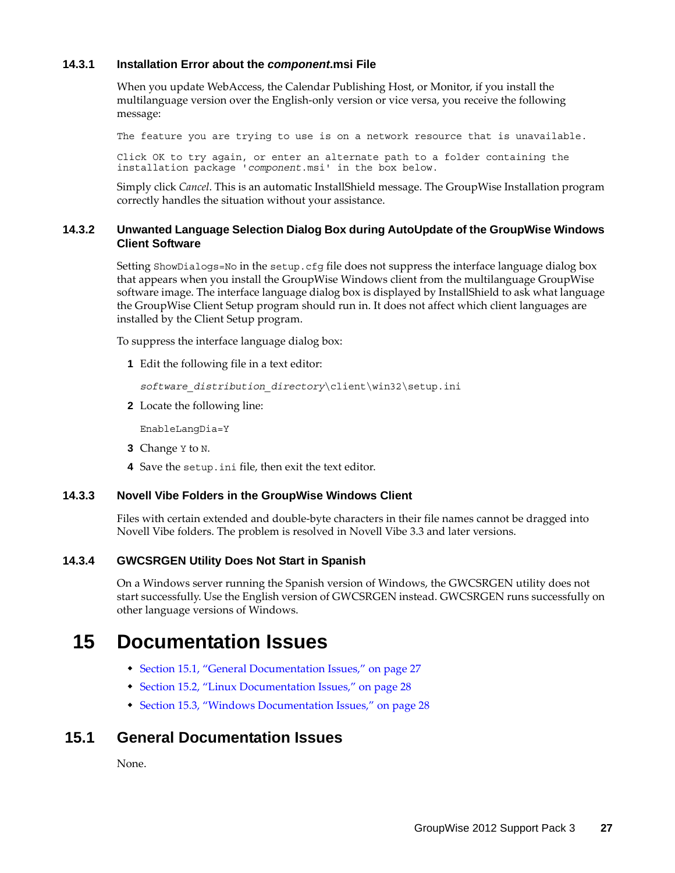### <span id="page-26-0"></span>**14.3.1 Installation Error about the** *component***.msi File**

When you update WebAccess, the Calendar Publishing Host, or Monitor, if you install the multilanguage version over the English-only version or vice versa, you receive the following message:

The feature you are trying to use is on a network resource that is unavailable.

Click OK to try again, or enter an alternate path to a folder containing the installation package '*component*.msi' in the box below.

Simply click *Cancel*. This is an automatic InstallShield message. The GroupWise Installation program correctly handles the situation without your assistance.

### <span id="page-26-1"></span>**14.3.2 Unwanted Language Selection Dialog Box during AutoUpdate of the GroupWise Windows Client Software**

Setting ShowDialogs=No in the setup.cfg file does not suppress the interface language dialog box that appears when you install the GroupWise Windows client from the multilanguage GroupWise software image. The interface language dialog box is displayed by InstallShield to ask what language the GroupWise Client Setup program should run in. It does not affect which client languages are installed by the Client Setup program.

To suppress the interface language dialog box:

**1** Edit the following file in a text editor:

*software\_distribution\_directory*\client\win32\setup.ini

**2** Locate the following line:

EnableLangDia=Y

- **3** Change Y to N.
- **4** Save the setup.ini file, then exit the text editor.

### <span id="page-26-2"></span>**14.3.3 Novell Vibe Folders in the GroupWise Windows Client**

Files with certain extended and double-byte characters in their file names cannot be dragged into Novell Vibe folders. The problem is resolved in Novell Vibe 3.3 and later versions.

### <span id="page-26-3"></span>**14.3.4 GWCSRGEN Utility Does Not Start in Spanish**

On a Windows server running the Spanish version of Windows, the GWCSRGEN utility does not start successfully. Use the English version of GWCSRGEN instead. GWCSRGEN runs successfully on other language versions of Windows.

## **15 Documentation Issues**

- [Section 15.1, "General Documentation Issues," on page 27](#page-26-4)
- [Section 15.2, "Linux Documentation Issues," on page 28](#page-27-1)
- [Section 15.3, "Windows Documentation Issues," on page 28](#page-27-2)

### <span id="page-26-4"></span>**15.1 General Documentation Issues**

None.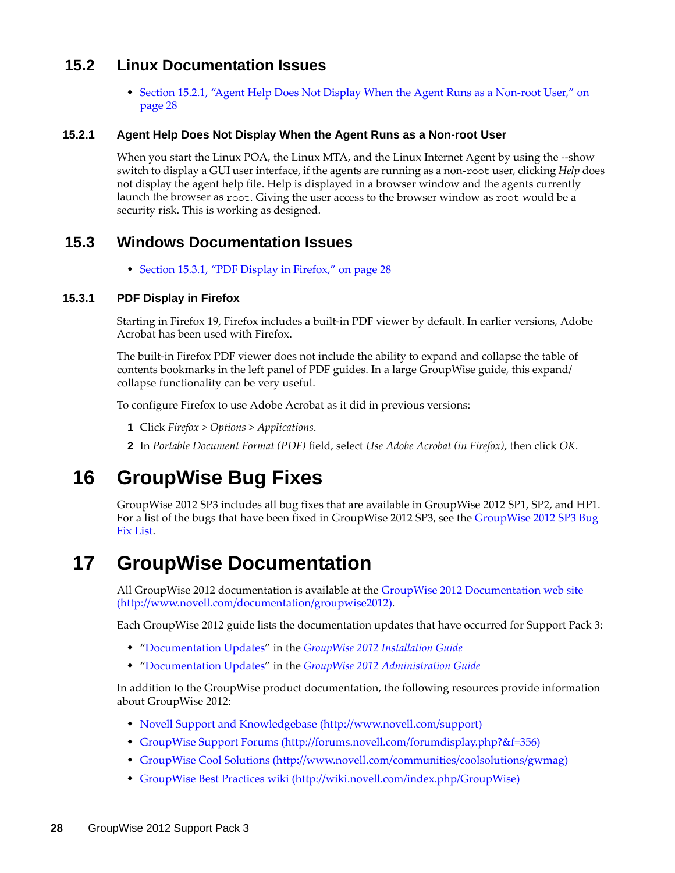### <span id="page-27-1"></span>**15.2 Linux Documentation Issues**

 [Section 15.2.1, "Agent Help Does Not Display When the Agent Runs as a Non-root User," on](#page-27-3)  [page 28](#page-27-3)

### <span id="page-27-3"></span>**15.2.1 Agent Help Does Not Display When the Agent Runs as a Non-root User**

When you start the Linux POA, the Linux MTA, and the Linux Internet Agent by using the --show switch to display a GUI user interface, if the agents are running as a non-root user, clicking *Help* does not display the agent help file. Help is displayed in a browser window and the agents currently launch the browser as root. Giving the user access to the browser window as root would be a security risk. This is working as designed.

### <span id="page-27-2"></span>**15.3 Windows Documentation Issues**

[Section 15.3.1, "PDF Display in Firefox," on page 28](#page-27-4)

### <span id="page-27-4"></span>**15.3.1 PDF Display in Firefox**

Starting in Firefox 19, Firefox includes a built-in PDF viewer by default. In earlier versions, Adobe Acrobat has been used with Firefox.

The built-in Firefox PDF viewer does not include the ability to expand and collapse the table of contents bookmarks in the left panel of PDF guides. In a large GroupWise guide, this expand/ collapse functionality can be very useful.

To configure Firefox to use Adobe Acrobat as it did in previous versions:

- **1** Click *Firefox > Options > Applications*.
- **2** In *Portable Document Format (PDF)* field, select *Use Adobe Acrobat (in Firefox)*, then click *OK*.

## **16 GroupWise Bug Fixes**

GroupWise 2012 SP3 includes all bug fixes that are available in GroupWise 2012 SP1, SP2, and HP1. For a list of the bugs that have been fixed in GroupWise 2012 SP3, see the [GroupWise 2012 SP3 Bug](https://www.novell.com/documentation/groupwise2012/gw2012sp3_bugfixlist/data/gw2012sp3_bugfixlist.html)  [Fix List.](https://www.novell.com/documentation/groupwise2012/gw2012sp3_bugfixlist/data/gw2012sp3_bugfixlist.html)

## <span id="page-27-0"></span>**17 GroupWise Documentation**

All GroupWise 2012 documentation is available at the [GroupWise 2012 Documentation web site](http://www.novell.com/documentation/groupwise2012) (http://www.novell.com/documentation/groupwise2012).

Each GroupWise 2012 guide lists the documentation updates that have occurred for Support Pack 3:

- "[Documentation Updates](http://www.novell.com/documentation/groupwise2012/pdfdoc/gw2012_guide_install/gw2012_guide_install.pdf#Alse1z7)" in the *[GroupWise 2012 Installation Guide](http://www.novell.com/documentation/groupwise2012/pdfdoc/gw2012_guide_install/gw2012_guide_install.pdf#gw2012guideinst)*
- "[Documentation Updates](http://www.novell.com/documentation/groupwise2012/pdfdoc/gw2012_guide_admin/gw2012_guide_admin.pdf#bzulq75)" in the *[GroupWise 2012 Administration Guide](http://www.novell.com/documentation/groupwise2012/pdfdoc/gw2012_guide_admin/gw2012_guide_admin.pdf#A2zvyc4)*

In addition to the GroupWise product documentation, the following resources provide information about GroupWise 2012:

- [Novell Support and Knowledgebase](http://www.novell.com/support) (http://www.novell.com/support)
- [GroupWise Support Forums](http://forums.novell.com/forumdisplay.php?&f=356) (http://forums.novell.com/forumdisplay.php?&f=356)
- [GroupWise Cool Solutions](http://www.novell.com/communities/coolsolutions/gwmag) (http://www.novell.com/communities/coolsolutions/gwmag)
- [GroupWise Best Practices wiki](http://wiki.novell.com/index.php/GroupWise) (http://wiki.novell.com/index.php/GroupWise)